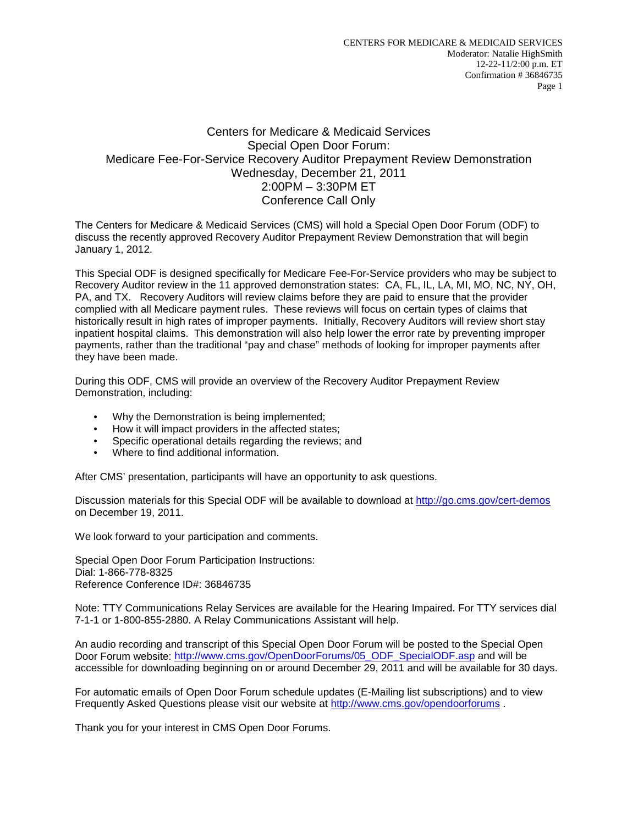## Centers for Medicare & Medicaid Services Special Open Door Forum: Medicare Fee-For-Service Recovery Auditor Prepayment Review Demonstration Wednesday, December 21, 2011 2:00PM – 3:30PM ET Conference Call Only

The Centers for Medicare & Medicaid Services (CMS) will hold a Special Open Door Forum (ODF) to discuss the recently approved Recovery Auditor Prepayment Review Demonstration that will begin January 1, 2012.

This Special ODF is designed specifically for Medicare Fee-For-Service providers who may be subject to Recovery Auditor review in the 11 approved demonstration states: CA, FL, IL, LA, MI, MO, NC, NY, OH, PA, and TX. Recovery Auditors will review claims before they are paid to ensure that the provider complied with all Medicare payment rules. These reviews will focus on certain types of claims that historically result in high rates of improper payments. Initially, Recovery Auditors will review short stay inpatient hospital claims. This demonstration will also help lower the error rate by preventing improper payments, rather than the traditional "pay and chase" methods of looking for improper payments after they have been made.

During this ODF, CMS will provide an overview of the Recovery Auditor Prepayment Review Demonstration, including:

- Why the Demonstration is being implemented;
- How it will impact providers in the affected states;
- Specific operational details regarding the reviews; and
- Where to find additional information.

After CMS' presentation, participants will have an opportunity to ask questions.

Discussion materials for this Special ODF will be available to download at<http://go.cms.gov/cert-demos> on December 19, 2011.

We look forward to your participation and comments.

Special Open Door Forum Participation Instructions: Dial: 1-866-778-8325 Reference Conference ID#: 36846735

Note: TTY Communications Relay Services are available for the Hearing Impaired. For TTY services dial 7-1-1 or 1-800-855-2880. A Relay Communications Assistant will help.

An audio recording and transcript of this Special Open Door Forum will be posted to the Special Open Door Forum website: [http://www.cms.gov/OpenDoorForums/05\\_ODF\\_SpecialODF.asp](http://www.cms.gov/OpenDoorForums/05_ODF_SpecialODF.asp) and will be accessible for downloading beginning on or around December 29, 2011 and will be available for 30 days.

For automatic emails of Open Door Forum schedule updates (E-Mailing list subscriptions) and to view Frequently Asked Questions please visit our website at<http://www.cms.gov/opendoorforums>

Thank you for your interest in CMS Open Door Forums.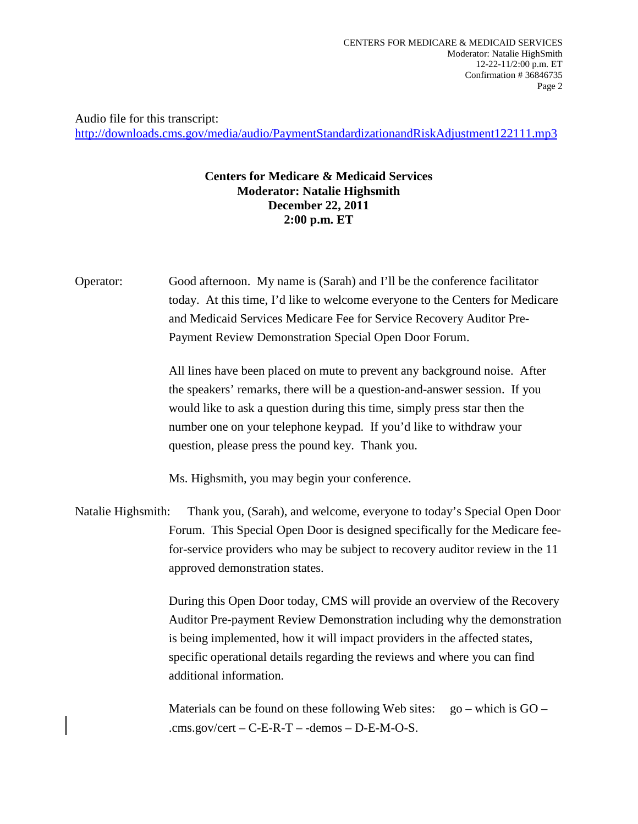Audio file for this transcript: <http://downloads.cms.gov/media/audio/PaymentStandardizationandRiskAdjustment122111.mp3>

## **Centers for Medicare & Medicaid Services Moderator: Natalie Highsmith December 22, 2011 2:00 p.m. ET**

Operator: Good afternoon. My name is (Sarah) and I'll be the conference facilitator today. At this time, I'd like to welcome everyone to the Centers for Medicare and Medicaid Services Medicare Fee for Service Recovery Auditor Pre-Payment Review Demonstration Special Open Door Forum.

> All lines have been placed on mute to prevent any background noise. After the speakers' remarks, there will be a question-and-answer session. If you would like to ask a question during this time, simply press star then the number one on your telephone keypad. If you'd like to withdraw your question, please press the pound key. Thank you.

Ms. Highsmith, you may begin your conference.

Natalie Highsmith: Thank you, (Sarah), and welcome, everyone to today's Special Open Door Forum. This Special Open Door is designed specifically for the Medicare feefor-service providers who may be subject to recovery auditor review in the 11 approved demonstration states.

> During this Open Door today, CMS will provide an overview of the Recovery Auditor Pre-payment Review Demonstration including why the demonstration is being implemented, how it will impact providers in the affected states, specific operational details regarding the reviews and where you can find additional information.

Materials can be found on these following Web sites:  $\qquad \text{go} - \text{which is GO} -$ .cms.gov/cert –  $C$ -E-R-T – -demos – D-E-M-O-S.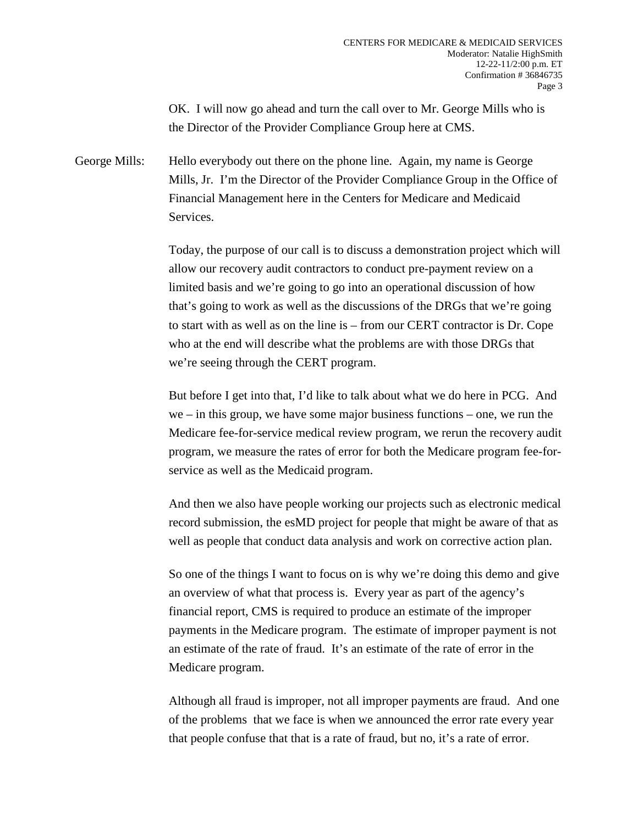OK. I will now go ahead and turn the call over to Mr. George Mills who is the Director of the Provider Compliance Group here at CMS.

George Mills: Hello everybody out there on the phone line. Again, my name is George Mills, Jr. I'm the Director of the Provider Compliance Group in the Office of Financial Management here in the Centers for Medicare and Medicaid Services.

> Today, the purpose of our call is to discuss a demonstration project which will allow our recovery audit contractors to conduct pre-payment review on a limited basis and we're going to go into an operational discussion of how that's going to work as well as the discussions of the DRGs that we're going to start with as well as on the line is – from our CERT contractor is Dr. Cope who at the end will describe what the problems are with those DRGs that we're seeing through the CERT program.

> But before I get into that, I'd like to talk about what we do here in PCG. And  $we$  – in this group, we have some major business functions – one, we run the Medicare fee-for-service medical review program, we rerun the recovery audit program, we measure the rates of error for both the Medicare program fee-forservice as well as the Medicaid program.

> And then we also have people working our projects such as electronic medical record submission, the esMD project for people that might be aware of that as well as people that conduct data analysis and work on corrective action plan.

> So one of the things I want to focus on is why we're doing this demo and give an overview of what that process is. Every year as part of the agency's financial report, CMS is required to produce an estimate of the improper payments in the Medicare program. The estimate of improper payment is not an estimate of the rate of fraud. It's an estimate of the rate of error in the Medicare program.

> Although all fraud is improper, not all improper payments are fraud. And one of the problems that we face is when we announced the error rate every year that people confuse that that is a rate of fraud, but no, it's a rate of error.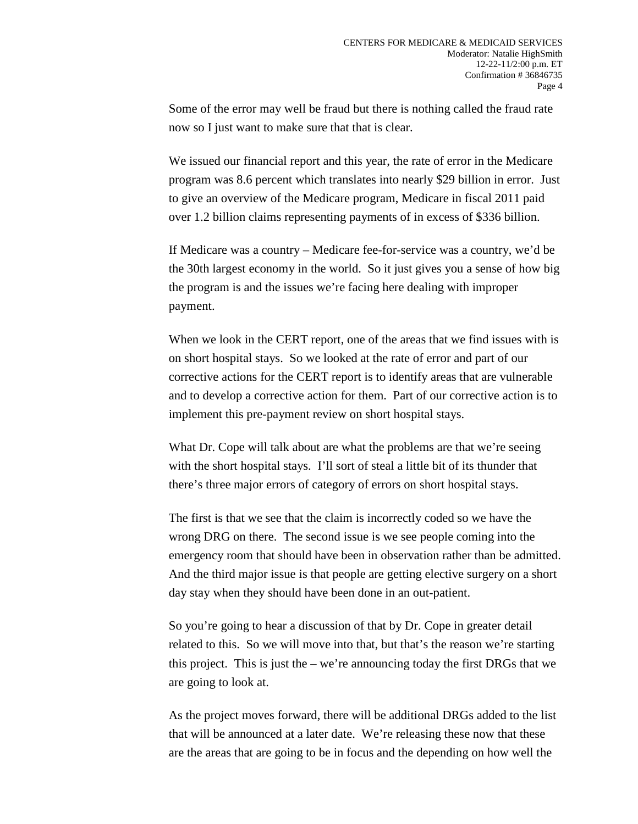Some of the error may well be fraud but there is nothing called the fraud rate now so I just want to make sure that that is clear.

We issued our financial report and this year, the rate of error in the Medicare program was 8.6 percent which translates into nearly \$29 billion in error. Just to give an overview of the Medicare program, Medicare in fiscal 2011 paid over 1.2 billion claims representing payments of in excess of \$336 billion.

If Medicare was a country – Medicare fee-for-service was a country, we'd be the 30th largest economy in the world. So it just gives you a sense of how big the program is and the issues we're facing here dealing with improper payment.

When we look in the CERT report, one of the areas that we find issues with is on short hospital stays. So we looked at the rate of error and part of our corrective actions for the CERT report is to identify areas that are vulnerable and to develop a corrective action for them. Part of our corrective action is to implement this pre-payment review on short hospital stays.

What Dr. Cope will talk about are what the problems are that we're seeing with the short hospital stays. I'll sort of steal a little bit of its thunder that there's three major errors of category of errors on short hospital stays.

The first is that we see that the claim is incorrectly coded so we have the wrong DRG on there. The second issue is we see people coming into the emergency room that should have been in observation rather than be admitted. And the third major issue is that people are getting elective surgery on a short day stay when they should have been done in an out-patient.

So you're going to hear a discussion of that by Dr. Cope in greater detail related to this. So we will move into that, but that's the reason we're starting this project. This is just the  $-$  we're announcing today the first DRGs that we are going to look at.

As the project moves forward, there will be additional DRGs added to the list that will be announced at a later date. We're releasing these now that these are the areas that are going to be in focus and the depending on how well the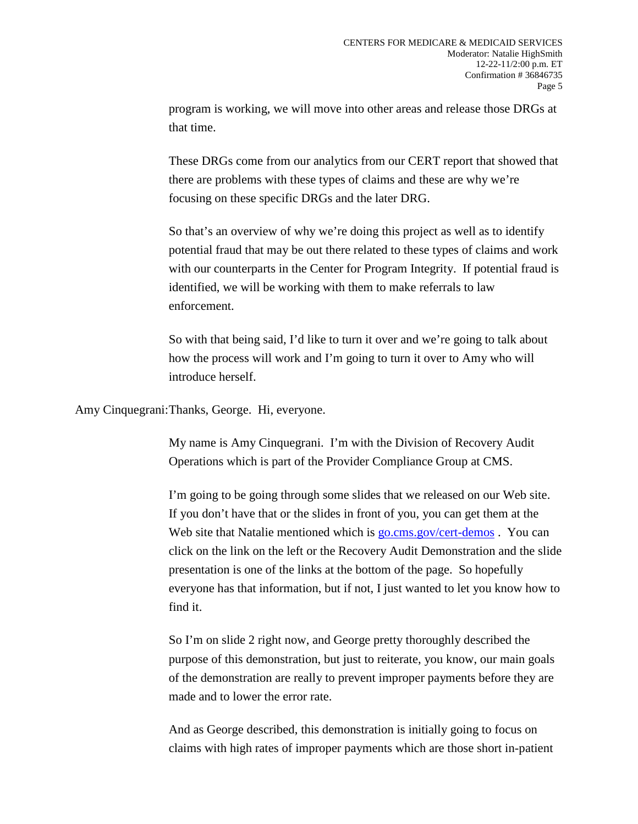program is working, we will move into other areas and release those DRGs at that time.

These DRGs come from our analytics from our CERT report that showed that there are problems with these types of claims and these are why we're focusing on these specific DRGs and the later DRG.

So that's an overview of why we're doing this project as well as to identify potential fraud that may be out there related to these types of claims and work with our counterparts in the Center for Program Integrity. If potential fraud is identified, we will be working with them to make referrals to law enforcement.

So with that being said, I'd like to turn it over and we're going to talk about how the process will work and I'm going to turn it over to Amy who will introduce herself.

Amy Cinquegrani:Thanks, George. Hi, everyone.

My name is Amy Cinquegrani. I'm with the Division of Recovery Audit Operations which is part of the Provider Compliance Group at CMS.

I'm going to be going through some slides that we released on our Web site. If you don't have that or the slides in front of you, you can get them at the Web site that Natalie mentioned which is [go.cms.gov/cert-demos](http://www.go.cms.gov/cert-demos). You can click on the link on the left or the Recovery Audit Demonstration and the slide presentation is one of the links at the bottom of the page. So hopefully everyone has that information, but if not, I just wanted to let you know how to find it.

So I'm on slide 2 right now, and George pretty thoroughly described the purpose of this demonstration, but just to reiterate, you know, our main goals of the demonstration are really to prevent improper payments before they are made and to lower the error rate.

And as George described, this demonstration is initially going to focus on claims with high rates of improper payments which are those short in-patient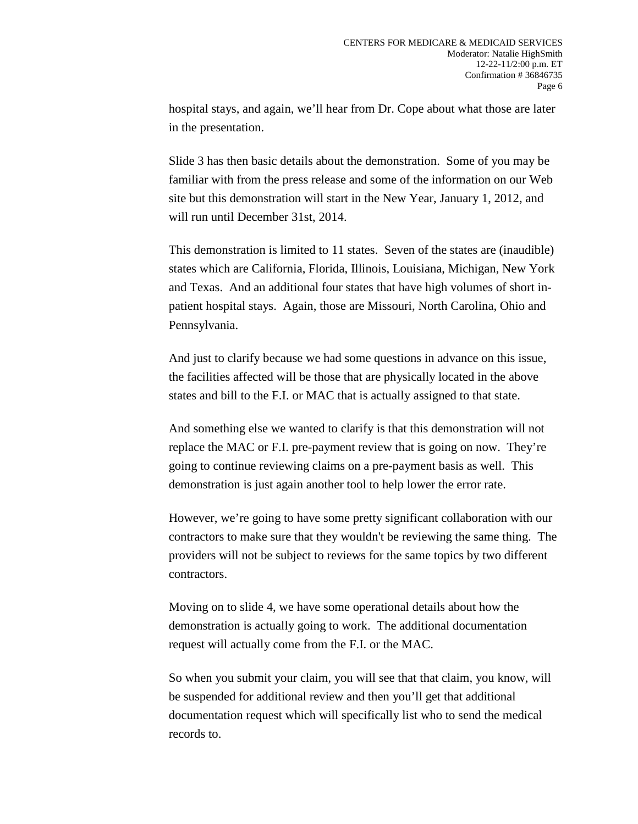hospital stays, and again, we'll hear from Dr. Cope about what those are later in the presentation.

Slide 3 has then basic details about the demonstration. Some of you may be familiar with from the press release and some of the information on our Web site but this demonstration will start in the New Year, January 1, 2012, and will run until December 31st, 2014.

This demonstration is limited to 11 states. Seven of the states are (inaudible) states which are California, Florida, Illinois, Louisiana, Michigan, New York and Texas. And an additional four states that have high volumes of short inpatient hospital stays. Again, those are Missouri, North Carolina, Ohio and Pennsylvania.

And just to clarify because we had some questions in advance on this issue, the facilities affected will be those that are physically located in the above states and bill to the F.I. or MAC that is actually assigned to that state.

And something else we wanted to clarify is that this demonstration will not replace the MAC or F.I. pre-payment review that is going on now. They're going to continue reviewing claims on a pre-payment basis as well. This demonstration is just again another tool to help lower the error rate.

However, we're going to have some pretty significant collaboration with our contractors to make sure that they wouldn't be reviewing the same thing. The providers will not be subject to reviews for the same topics by two different contractors.

Moving on to slide 4, we have some operational details about how the demonstration is actually going to work. The additional documentation request will actually come from the F.I. or the MAC.

So when you submit your claim, you will see that that claim, you know, will be suspended for additional review and then you'll get that additional documentation request which will specifically list who to send the medical records to.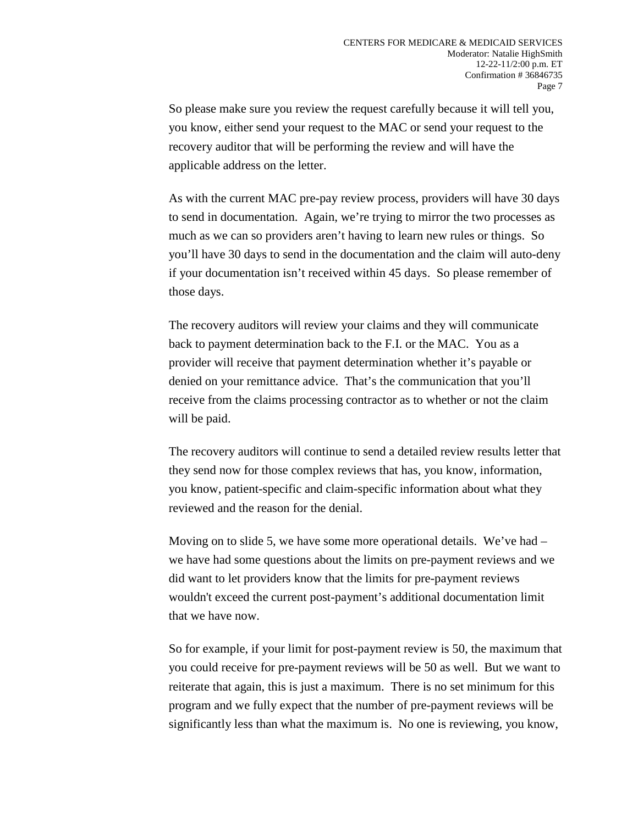So please make sure you review the request carefully because it will tell you, you know, either send your request to the MAC or send your request to the recovery auditor that will be performing the review and will have the applicable address on the letter.

As with the current MAC pre-pay review process, providers will have 30 days to send in documentation. Again, we're trying to mirror the two processes as much as we can so providers aren't having to learn new rules or things. So you'll have 30 days to send in the documentation and the claim will auto-deny if your documentation isn't received within 45 days. So please remember of those days.

The recovery auditors will review your claims and they will communicate back to payment determination back to the F.I. or the MAC. You as a provider will receive that payment determination whether it's payable or denied on your remittance advice. That's the communication that you'll receive from the claims processing contractor as to whether or not the claim will be paid.

The recovery auditors will continue to send a detailed review results letter that they send now for those complex reviews that has, you know, information, you know, patient-specific and claim-specific information about what they reviewed and the reason for the denial.

Moving on to slide 5, we have some more operational details. We've had – we have had some questions about the limits on pre-payment reviews and we did want to let providers know that the limits for pre-payment reviews wouldn't exceed the current post-payment's additional documentation limit that we have now.

So for example, if your limit for post-payment review is 50, the maximum that you could receive for pre-payment reviews will be 50 as well. But we want to reiterate that again, this is just a maximum. There is no set minimum for this program and we fully expect that the number of pre-payment reviews will be significantly less than what the maximum is. No one is reviewing, you know,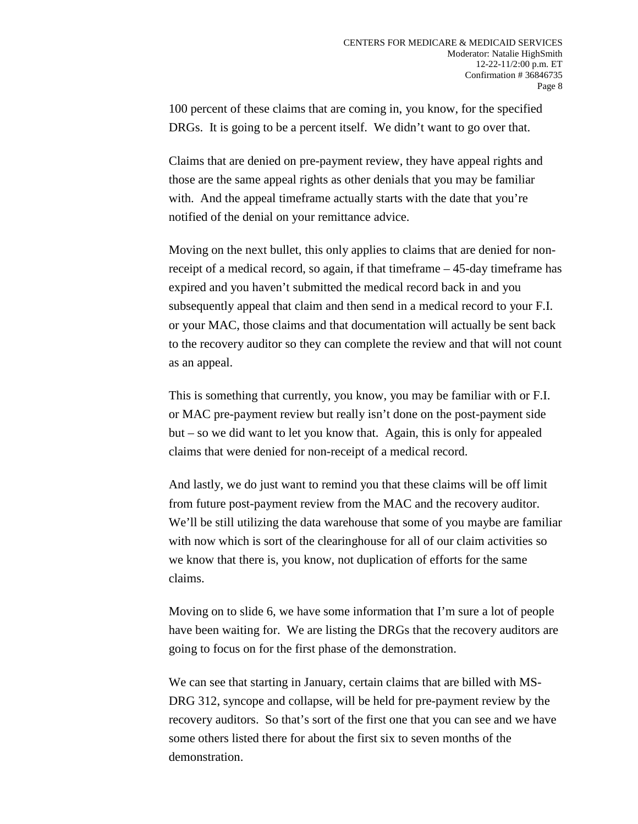100 percent of these claims that are coming in, you know, for the specified DRGs. It is going to be a percent itself. We didn't want to go over that.

Claims that are denied on pre-payment review, they have appeal rights and those are the same appeal rights as other denials that you may be familiar with. And the appeal timeframe actually starts with the date that you're notified of the denial on your remittance advice.

Moving on the next bullet, this only applies to claims that are denied for nonreceipt of a medical record, so again, if that timeframe – 45-day timeframe has expired and you haven't submitted the medical record back in and you subsequently appeal that claim and then send in a medical record to your F.I. or your MAC, those claims and that documentation will actually be sent back to the recovery auditor so they can complete the review and that will not count as an appeal.

This is something that currently, you know, you may be familiar with or F.I. or MAC pre-payment review but really isn't done on the post-payment side but – so we did want to let you know that. Again, this is only for appealed claims that were denied for non-receipt of a medical record.

And lastly, we do just want to remind you that these claims will be off limit from future post-payment review from the MAC and the recovery auditor. We'll be still utilizing the data warehouse that some of you maybe are familiar with now which is sort of the clearinghouse for all of our claim activities so we know that there is, you know, not duplication of efforts for the same claims.

Moving on to slide 6, we have some information that I'm sure a lot of people have been waiting for. We are listing the DRGs that the recovery auditors are going to focus on for the first phase of the demonstration.

We can see that starting in January, certain claims that are billed with MS-DRG 312, syncope and collapse, will be held for pre-payment review by the recovery auditors. So that's sort of the first one that you can see and we have some others listed there for about the first six to seven months of the demonstration.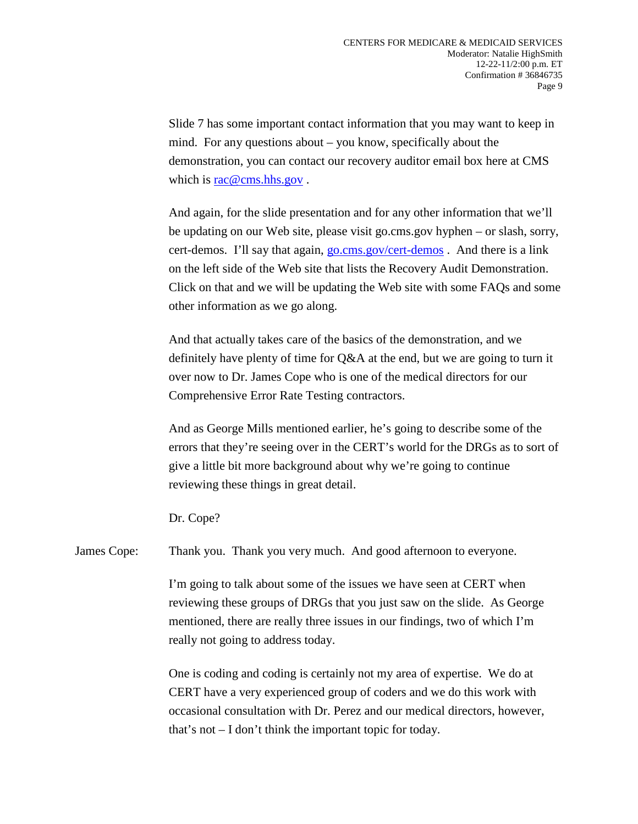Slide 7 has some important contact information that you may want to keep in mind. For any questions about – you know, specifically about the demonstration, you can contact our recovery auditor email box here at CMS which is [rac@cms.hhs.gov](mailto:rac@cms.hhs.gov).

And again, for the slide presentation and for any other information that we'll be updating on our Web site, please visit go.cms.gov hyphen – or slash, sorry, cert-demos. I'll say that again, [go.cms.gov/cert-demos](http://www.go.cms.gov/cert-demos). And there is a link on the left side of the Web site that lists the Recovery Audit Demonstration. Click on that and we will be updating the Web site with some FAQs and some other information as we go along.

And that actually takes care of the basics of the demonstration, and we definitely have plenty of time for Q&A at the end, but we are going to turn it over now to Dr. James Cope who is one of the medical directors for our Comprehensive Error Rate Testing contractors.

And as George Mills mentioned earlier, he's going to describe some of the errors that they're seeing over in the CERT's world for the DRGs as to sort of give a little bit more background about why we're going to continue reviewing these things in great detail.

Dr. Cope?

James Cope: Thank you. Thank you very much. And good afternoon to everyone.

I'm going to talk about some of the issues we have seen at CERT when reviewing these groups of DRGs that you just saw on the slide. As George mentioned, there are really three issues in our findings, two of which I'm really not going to address today.

One is coding and coding is certainly not my area of expertise. We do at CERT have a very experienced group of coders and we do this work with occasional consultation with Dr. Perez and our medical directors, however, that's not – I don't think the important topic for today.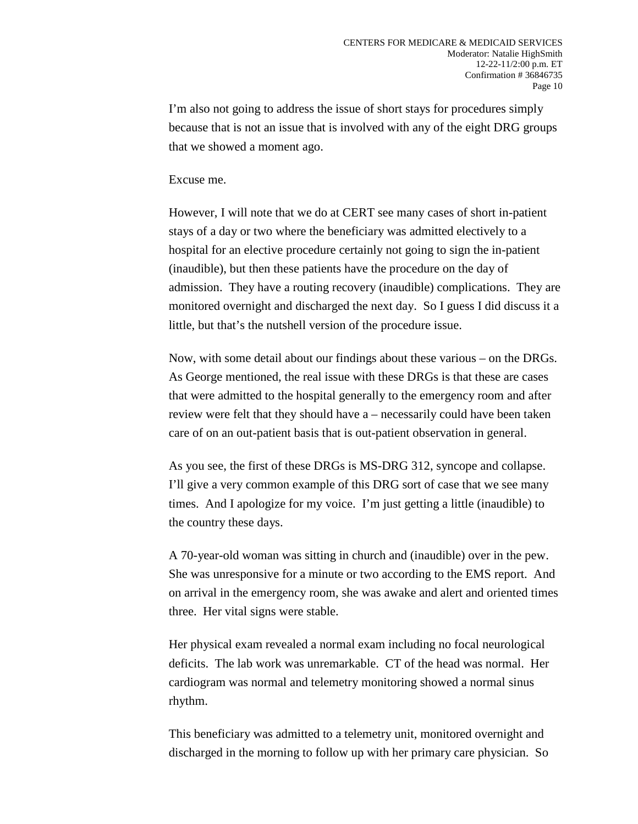I'm also not going to address the issue of short stays for procedures simply because that is not an issue that is involved with any of the eight DRG groups that we showed a moment ago.

## Excuse me.

However, I will note that we do at CERT see many cases of short in-patient stays of a day or two where the beneficiary was admitted electively to a hospital for an elective procedure certainly not going to sign the in-patient (inaudible), but then these patients have the procedure on the day of admission. They have a routing recovery (inaudible) complications. They are monitored overnight and discharged the next day. So I guess I did discuss it a little, but that's the nutshell version of the procedure issue.

Now, with some detail about our findings about these various – on the DRGs. As George mentioned, the real issue with these DRGs is that these are cases that were admitted to the hospital generally to the emergency room and after review were felt that they should have a – necessarily could have been taken care of on an out-patient basis that is out-patient observation in general.

As you see, the first of these DRGs is MS-DRG 312, syncope and collapse. I'll give a very common example of this DRG sort of case that we see many times. And I apologize for my voice. I'm just getting a little (inaudible) to the country these days.

A 70-year-old woman was sitting in church and (inaudible) over in the pew. She was unresponsive for a minute or two according to the EMS report. And on arrival in the emergency room, she was awake and alert and oriented times three. Her vital signs were stable.

Her physical exam revealed a normal exam including no focal neurological deficits. The lab work was unremarkable. CT of the head was normal. Her cardiogram was normal and telemetry monitoring showed a normal sinus rhythm.

This beneficiary was admitted to a telemetry unit, monitored overnight and discharged in the morning to follow up with her primary care physician. So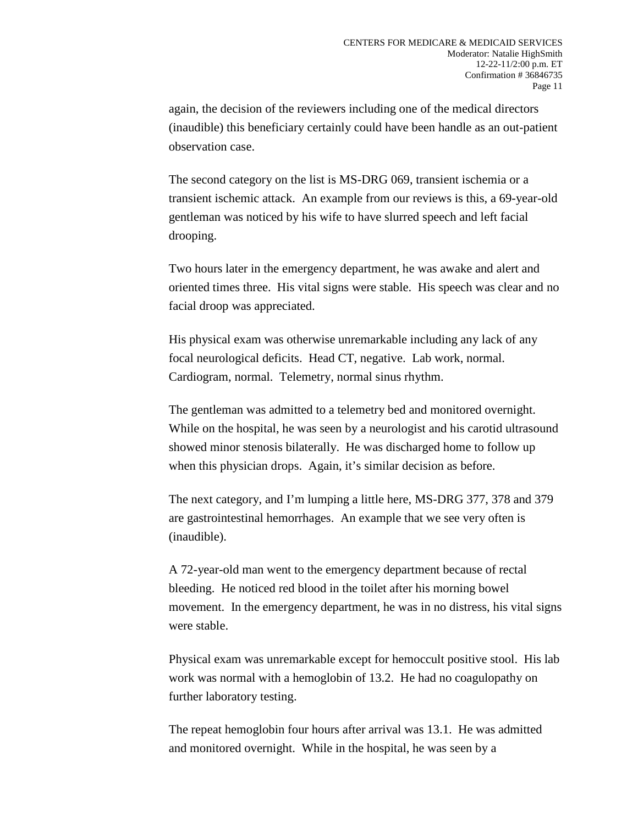again, the decision of the reviewers including one of the medical directors (inaudible) this beneficiary certainly could have been handle as an out-patient observation case.

The second category on the list is MS-DRG 069, transient ischemia or a transient ischemic attack. An example from our reviews is this, a 69-year-old gentleman was noticed by his wife to have slurred speech and left facial drooping.

Two hours later in the emergency department, he was awake and alert and oriented times three. His vital signs were stable. His speech was clear and no facial droop was appreciated.

His physical exam was otherwise unremarkable including any lack of any focal neurological deficits. Head CT, negative. Lab work, normal. Cardiogram, normal. Telemetry, normal sinus rhythm.

The gentleman was admitted to a telemetry bed and monitored overnight. While on the hospital, he was seen by a neurologist and his carotid ultrasound showed minor stenosis bilaterally. He was discharged home to follow up when this physician drops. Again, it's similar decision as before.

The next category, and I'm lumping a little here, MS-DRG 377, 378 and 379 are gastrointestinal hemorrhages. An example that we see very often is (inaudible).

A 72-year-old man went to the emergency department because of rectal bleeding. He noticed red blood in the toilet after his morning bowel movement. In the emergency department, he was in no distress, his vital signs were stable.

Physical exam was unremarkable except for hemoccult positive stool. His lab work was normal with a hemoglobin of 13.2. He had no coagulopathy on further laboratory testing.

The repeat hemoglobin four hours after arrival was 13.1. He was admitted and monitored overnight. While in the hospital, he was seen by a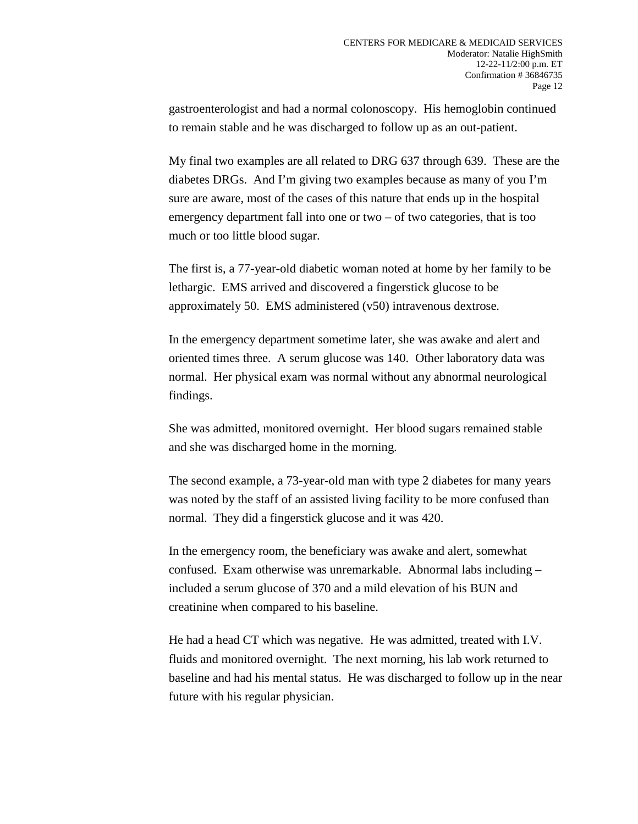gastroenterologist and had a normal colonoscopy. His hemoglobin continued to remain stable and he was discharged to follow up as an out-patient.

My final two examples are all related to DRG 637 through 639. These are the diabetes DRGs. And I'm giving two examples because as many of you I'm sure are aware, most of the cases of this nature that ends up in the hospital emergency department fall into one or two – of two categories, that is too much or too little blood sugar.

The first is, a 77-year-old diabetic woman noted at home by her family to be lethargic. EMS arrived and discovered a fingerstick glucose to be approximately 50. EMS administered (v50) intravenous dextrose.

In the emergency department sometime later, she was awake and alert and oriented times three. A serum glucose was 140. Other laboratory data was normal. Her physical exam was normal without any abnormal neurological findings.

She was admitted, monitored overnight. Her blood sugars remained stable and she was discharged home in the morning.

The second example, a 73-year-old man with type 2 diabetes for many years was noted by the staff of an assisted living facility to be more confused than normal. They did a fingerstick glucose and it was 420.

In the emergency room, the beneficiary was awake and alert, somewhat confused. Exam otherwise was unremarkable. Abnormal labs including – included a serum glucose of 370 and a mild elevation of his BUN and creatinine when compared to his baseline.

He had a head CT which was negative. He was admitted, treated with I.V. fluids and monitored overnight. The next morning, his lab work returned to baseline and had his mental status. He was discharged to follow up in the near future with his regular physician.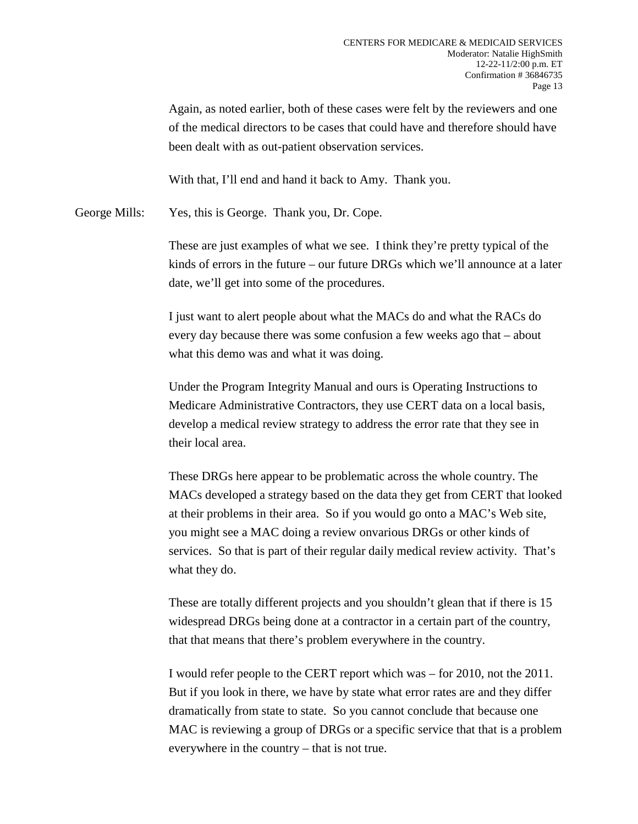Again, as noted earlier, both of these cases were felt by the reviewers and one of the medical directors to be cases that could have and therefore should have been dealt with as out-patient observation services.

With that, I'll end and hand it back to Amy. Thank you.

George Mills: Yes, this is George. Thank you, Dr. Cope.

These are just examples of what we see. I think they're pretty typical of the kinds of errors in the future – our future DRGs which we'll announce at a later date, we'll get into some of the procedures.

I just want to alert people about what the MACs do and what the RACs do every day because there was some confusion a few weeks ago that – about what this demo was and what it was doing.

Under the Program Integrity Manual and ours is Operating Instructions to Medicare Administrative Contractors, they use CERT data on a local basis, develop a medical review strategy to address the error rate that they see in their local area.

These DRGs here appear to be problematic across the whole country. The MACs developed a strategy based on the data they get from CERT that looked at their problems in their area. So if you would go onto a MAC's Web site, you might see a MAC doing a review onvarious DRGs or other kinds of services. So that is part of their regular daily medical review activity. That's what they do.

These are totally different projects and you shouldn't glean that if there is 15 widespread DRGs being done at a contractor in a certain part of the country, that that means that there's problem everywhere in the country.

I would refer people to the CERT report which was – for 2010, not the 2011. But if you look in there, we have by state what error rates are and they differ dramatically from state to state. So you cannot conclude that because one MAC is reviewing a group of DRGs or a specific service that that is a problem everywhere in the country – that is not true.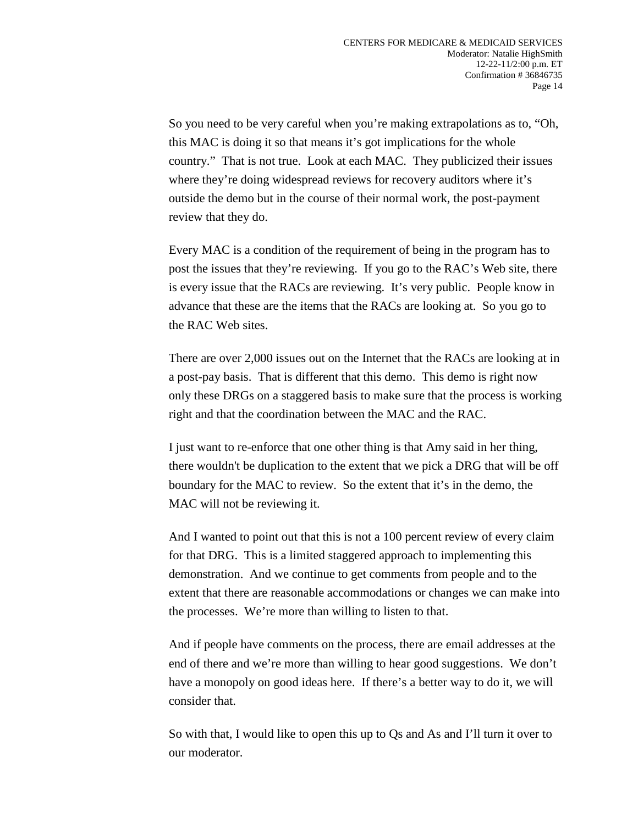So you need to be very careful when you're making extrapolations as to, "Oh, this MAC is doing it so that means it's got implications for the whole country." That is not true. Look at each MAC. They publicized their issues where they're doing widespread reviews for recovery auditors where it's outside the demo but in the course of their normal work, the post-payment review that they do.

Every MAC is a condition of the requirement of being in the program has to post the issues that they're reviewing. If you go to the RAC's Web site, there is every issue that the RACs are reviewing. It's very public. People know in advance that these are the items that the RACs are looking at. So you go to the RAC Web sites.

There are over 2,000 issues out on the Internet that the RACs are looking at in a post-pay basis. That is different that this demo. This demo is right now only these DRGs on a staggered basis to make sure that the process is working right and that the coordination between the MAC and the RAC.

I just want to re-enforce that one other thing is that Amy said in her thing, there wouldn't be duplication to the extent that we pick a DRG that will be off boundary for the MAC to review. So the extent that it's in the demo, the MAC will not be reviewing it.

And I wanted to point out that this is not a 100 percent review of every claim for that DRG. This is a limited staggered approach to implementing this demonstration. And we continue to get comments from people and to the extent that there are reasonable accommodations or changes we can make into the processes. We're more than willing to listen to that.

And if people have comments on the process, there are email addresses at the end of there and we're more than willing to hear good suggestions. We don't have a monopoly on good ideas here. If there's a better way to do it, we will consider that.

So with that, I would like to open this up to Qs and As and I'll turn it over to our moderator.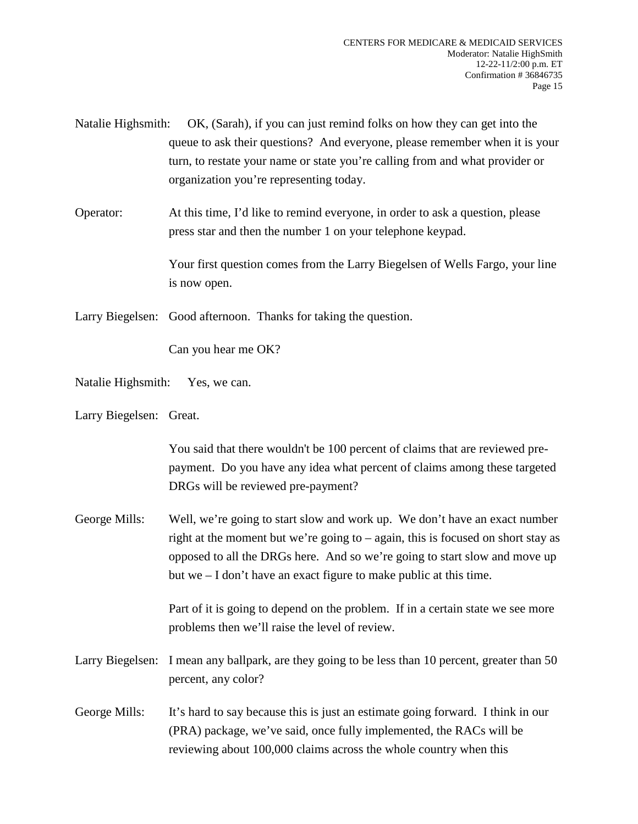| Natalie Highsmith:                                                           | OK, (Sarah), if you can just remind folks on how they can get into the      |  |  |  |
|------------------------------------------------------------------------------|-----------------------------------------------------------------------------|--|--|--|
|                                                                              | queue to ask their questions? And everyone, please remember when it is your |  |  |  |
| turn, to restate your name or state you're calling from and what provider or |                                                                             |  |  |  |
|                                                                              | organization you're representing today.                                     |  |  |  |

Operator: At this time, I'd like to remind everyone, in order to ask a question, please press star and then the number 1 on your telephone keypad.

> Your first question comes from the Larry Biegelsen of Wells Fargo, your line is now open.

Larry Biegelsen: Good afternoon. Thanks for taking the question.

Can you hear me OK?

Natalie Highsmith: Yes, we can.

Larry Biegelsen: Great.

You said that there wouldn't be 100 percent of claims that are reviewed prepayment. Do you have any idea what percent of claims among these targeted DRGs will be reviewed pre-payment?

George Mills: Well, we're going to start slow and work up. We don't have an exact number right at the moment but we're going to – again, this is focused on short stay as opposed to all the DRGs here. And so we're going to start slow and move up but we – I don't have an exact figure to make public at this time.

> Part of it is going to depend on the problem. If in a certain state we see more problems then we'll raise the level of review.

- Larry Biegelsen: I mean any ballpark, are they going to be less than 10 percent, greater than 50 percent, any color?
- George Mills: It's hard to say because this is just an estimate going forward. I think in our (PRA) package, we've said, once fully implemented, the RACs will be reviewing about 100,000 claims across the whole country when this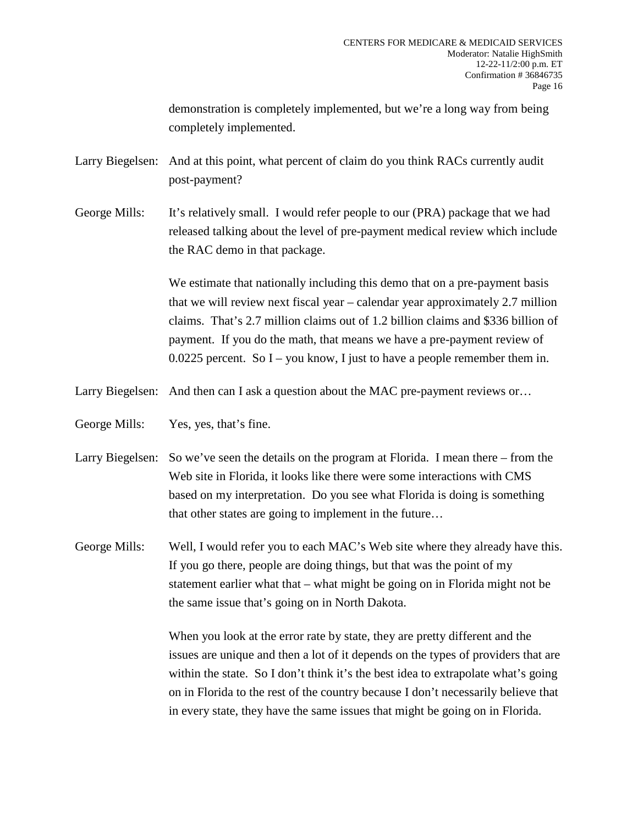demonstration is completely implemented, but we're a long way from being completely implemented.

Larry Biegelsen: And at this point, what percent of claim do you think RACs currently audit post-payment?

George Mills: It's relatively small. I would refer people to our (PRA) package that we had released talking about the level of pre-payment medical review which include the RAC demo in that package.

> We estimate that nationally including this demo that on a pre-payment basis that we will review next fiscal year – calendar year approximately 2.7 million claims. That's 2.7 million claims out of 1.2 billion claims and \$336 billion of payment. If you do the math, that means we have a pre-payment review of  $0.0225$  percent. So I – you know, I just to have a people remember them in.

Larry Biegelsen: And then can I ask a question about the MAC pre-payment reviews or...

George Mills: Yes, yes, that's fine.

Larry Biegelsen: So we've seen the details on the program at Florida. I mean there – from the Web site in Florida, it looks like there were some interactions with CMS based on my interpretation. Do you see what Florida is doing is something that other states are going to implement in the future…

George Mills: Well, I would refer you to each MAC's Web site where they already have this. If you go there, people are doing things, but that was the point of my statement earlier what that – what might be going on in Florida might not be the same issue that's going on in North Dakota.

> When you look at the error rate by state, they are pretty different and the issues are unique and then a lot of it depends on the types of providers that are within the state. So I don't think it's the best idea to extrapolate what's going on in Florida to the rest of the country because I don't necessarily believe that in every state, they have the same issues that might be going on in Florida.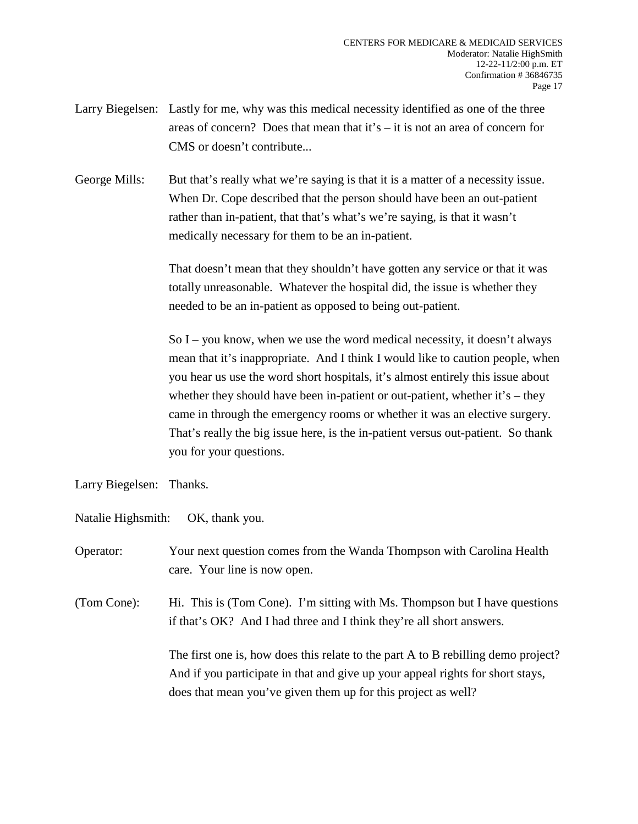- Larry Biegelsen: Lastly for me, why was this medical necessity identified as one of the three areas of concern? Does that mean that it's  $-$  it is not an area of concern for CMS or doesn't contribute...
- George Mills: But that's really what we're saying is that it is a matter of a necessity issue. When Dr. Cope described that the person should have been an out-patient rather than in-patient, that that's what's we're saying, is that it wasn't medically necessary for them to be an in-patient.

That doesn't mean that they shouldn't have gotten any service or that it was totally unreasonable. Whatever the hospital did, the issue is whether they needed to be an in-patient as opposed to being out-patient.

So I – you know, when we use the word medical necessity, it doesn't always mean that it's inappropriate. And I think I would like to caution people, when you hear us use the word short hospitals, it's almost entirely this issue about whether they should have been in-patient or out-patient, whether it's – they came in through the emergency rooms or whether it was an elective surgery. That's really the big issue here, is the in-patient versus out-patient. So thank you for your questions.

- Larry Biegelsen: Thanks.
- Natalie Highsmith: OK, thank you.

Operator: Your next question comes from the Wanda Thompson with Carolina Health care. Your line is now open.

(Tom Cone): Hi. This is (Tom Cone). I'm sitting with Ms. Thompson but I have questions if that's OK? And I had three and I think they're all short answers.

> The first one is, how does this relate to the part A to B rebilling demo project? And if you participate in that and give up your appeal rights for short stays, does that mean you've given them up for this project as well?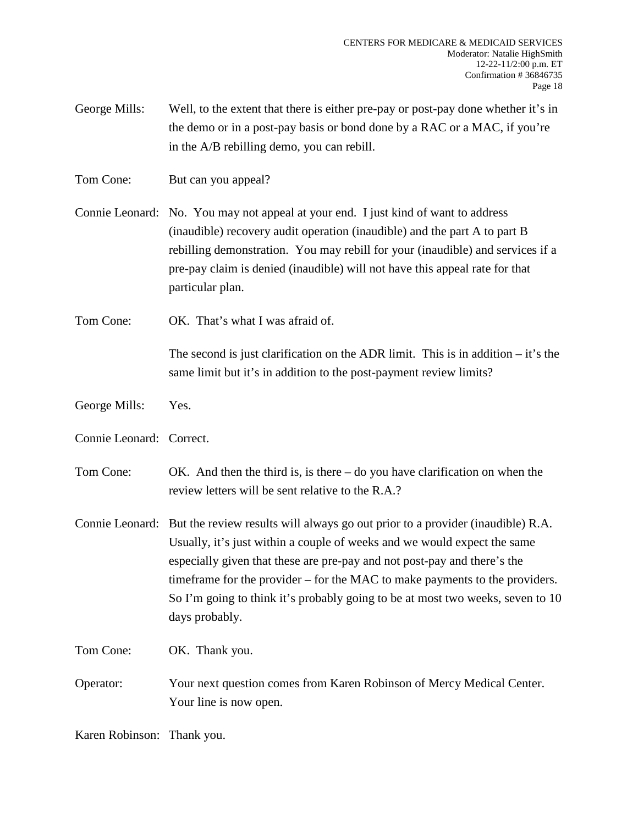George Mills: Well, to the extent that there is either pre-pay or post-pay done whether it's in the demo or in a post-pay basis or bond done by a RAC or a MAC, if you're in the A/B rebilling demo, you can rebill.

Tom Cone: But can you appeal?

Connie Leonard: No. You may not appeal at your end. I just kind of want to address (inaudible) recovery audit operation (inaudible) and the part A to part B rebilling demonstration. You may rebill for your (inaudible) and services if a pre-pay claim is denied (inaudible) will not have this appeal rate for that particular plan.

Tom Cone: OK. That's what I was afraid of.

The second is just clarification on the ADR limit. This is in addition  $-$  it's the same limit but it's in addition to the post-payment review limits?

- George Mills: Yes.
- Connie Leonard: Correct.
- Tom Cone: OK. And then the third is, is there do you have clarification on when the review letters will be sent relative to the R.A.?
- Connie Leonard: But the review results will always go out prior to a provider (inaudible) R.A. Usually, it's just within a couple of weeks and we would expect the same especially given that these are pre-pay and not post-pay and there's the timeframe for the provider – for the MAC to make payments to the providers. So I'm going to think it's probably going to be at most two weeks, seven to 10 days probably.

Tom Cone: OK. Thank you.

Operator: Your next question comes from Karen Robinson of Mercy Medical Center. Your line is now open.

Karen Robinson: Thank you.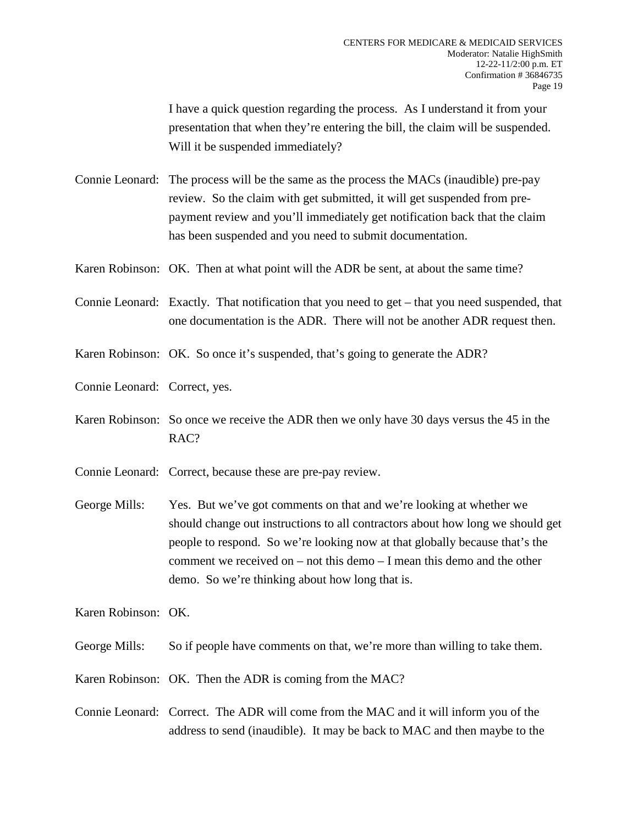I have a quick question regarding the process. As I understand it from your presentation that when they're entering the bill, the claim will be suspended. Will it be suspended immediately?

Connie Leonard: The process will be the same as the process the MACs (inaudible) pre-pay review. So the claim with get submitted, it will get suspended from prepayment review and you'll immediately get notification back that the claim has been suspended and you need to submit documentation.

Karen Robinson: OK. Then at what point will the ADR be sent, at about the same time?

Connie Leonard: Exactly. That notification that you need to get – that you need suspended, that one documentation is the ADR. There will not be another ADR request then.

Karen Robinson: OK. So once it's suspended, that's going to generate the ADR?

- Connie Leonard: Correct, yes.
- Karen Robinson: So once we receive the ADR then we only have 30 days versus the 45 in the RAC?
- Connie Leonard: Correct, because these are pre-pay review.
- George Mills: Yes. But we've got comments on that and we're looking at whether we should change out instructions to all contractors about how long we should get people to respond. So we're looking now at that globally because that's the comment we received on – not this demo – I mean this demo and the other demo. So we're thinking about how long that is.

Karen Robinson: OK.

George Mills: So if people have comments on that, we're more than willing to take them.

Karen Robinson: OK. Then the ADR is coming from the MAC?

Connie Leonard: Correct. The ADR will come from the MAC and it will inform you of the address to send (inaudible). It may be back to MAC and then maybe to the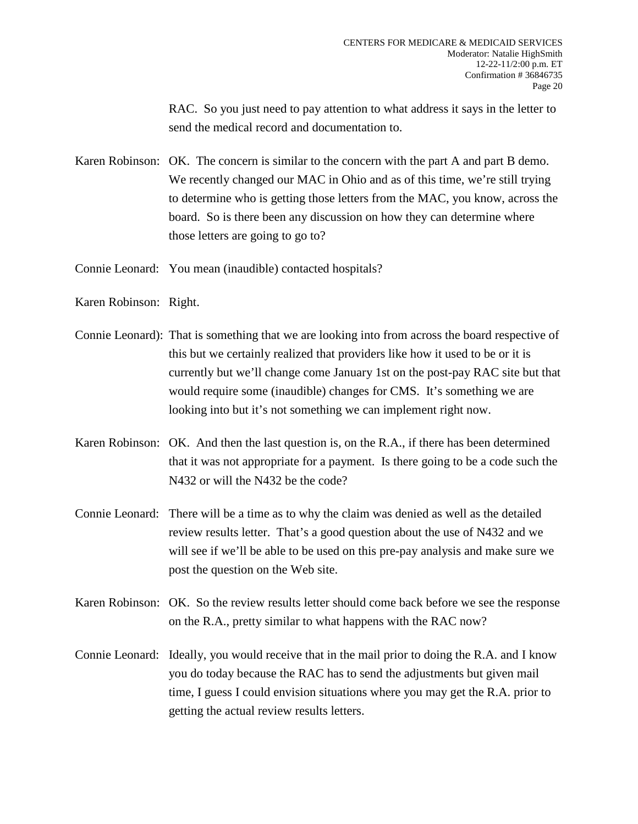RAC. So you just need to pay attention to what address it says in the letter to send the medical record and documentation to.

- Karen Robinson: OK. The concern is similar to the concern with the part A and part B demo. We recently changed our MAC in Ohio and as of this time, we're still trying to determine who is getting those letters from the MAC, you know, across the board. So is there been any discussion on how they can determine where those letters are going to go to?
- Connie Leonard: You mean (inaudible) contacted hospitals?
- Karen Robinson: Right.
- Connie Leonard): That is something that we are looking into from across the board respective of this but we certainly realized that providers like how it used to be or it is currently but we'll change come January 1st on the post-pay RAC site but that would require some (inaudible) changes for CMS. It's something we are looking into but it's not something we can implement right now.
- Karen Robinson: OK. And then the last question is, on the R.A., if there has been determined that it was not appropriate for a payment. Is there going to be a code such the N432 or will the N432 be the code?
- Connie Leonard: There will be a time as to why the claim was denied as well as the detailed review results letter. That's a good question about the use of N432 and we will see if we'll be able to be used on this pre-pay analysis and make sure we post the question on the Web site.
- Karen Robinson: OK. So the review results letter should come back before we see the response on the R.A., pretty similar to what happens with the RAC now?
- Connie Leonard: Ideally, you would receive that in the mail prior to doing the R.A. and I know you do today because the RAC has to send the adjustments but given mail time, I guess I could envision situations where you may get the R.A. prior to getting the actual review results letters.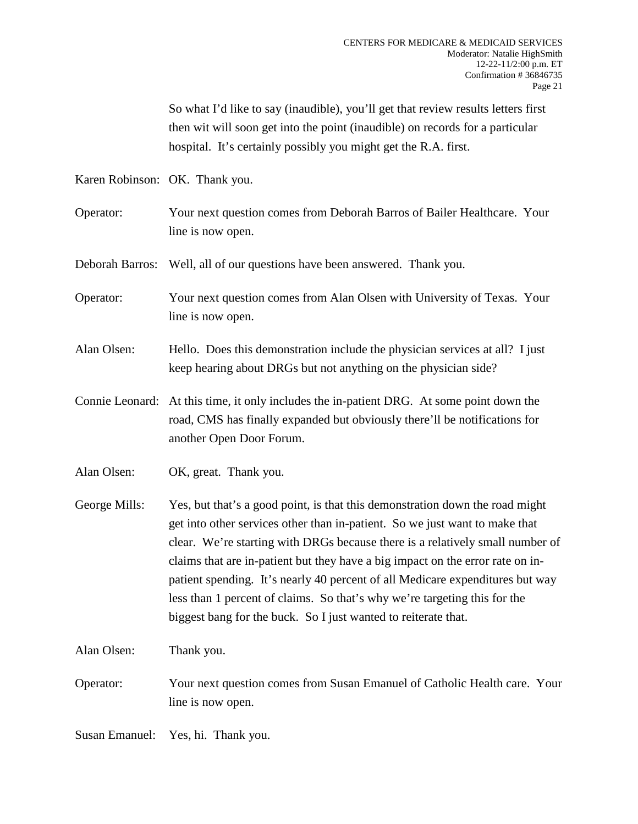So what I'd like to say (inaudible), you'll get that review results letters first then wit will soon get into the point (inaudible) on records for a particular hospital. It's certainly possibly you might get the R.A. first.

Karen Robinson: OK. Thank you.

Operator: Your next question comes from Deborah Barros of Bailer Healthcare. Your line is now open.

Deborah Barros: Well, all of our questions have been answered. Thank you.

- Operator: Your next question comes from Alan Olsen with University of Texas. Your line is now open.
- Alan Olsen: Hello. Does this demonstration include the physician services at all? I just keep hearing about DRGs but not anything on the physician side?
- Connie Leonard: At this time, it only includes the in-patient DRG. At some point down the road, CMS has finally expanded but obviously there'll be notifications for another Open Door Forum.
- Alan Olsen: OK, great. Thank you.
- George Mills: Yes, but that's a good point, is that this demonstration down the road might get into other services other than in-patient. So we just want to make that clear. We're starting with DRGs because there is a relatively small number of claims that are in-patient but they have a big impact on the error rate on inpatient spending. It's nearly 40 percent of all Medicare expenditures but way less than 1 percent of claims. So that's why we're targeting this for the biggest bang for the buck. So I just wanted to reiterate that.

Alan Olsen: Thank you.

Operator: Your next question comes from Susan Emanuel of Catholic Health care. Your line is now open.

Susan Emanuel: Yes, hi. Thank you.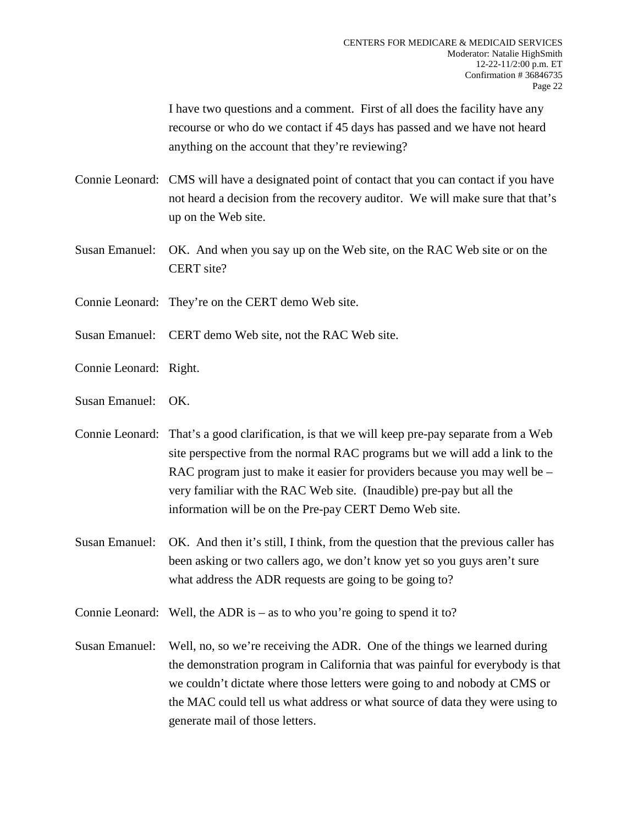I have two questions and a comment. First of all does the facility have any recourse or who do we contact if 45 days has passed and we have not heard anything on the account that they're reviewing?

- Connie Leonard: CMS will have a designated point of contact that you can contact if you have not heard a decision from the recovery auditor. We will make sure that that's up on the Web site.
- Susan Emanuel: OK. And when you say up on the Web site, on the RAC Web site or on the CERT site?
- Connie Leonard: They're on the CERT demo Web site.
- Susan Emanuel: CERT demo Web site, not the RAC Web site.
- Connie Leonard: Right.
- Susan Emanuel: OK.
- Connie Leonard: That's a good clarification, is that we will keep pre-pay separate from a Web site perspective from the normal RAC programs but we will add a link to the RAC program just to make it easier for providers because you may well be – very familiar with the RAC Web site. (Inaudible) pre-pay but all the information will be on the Pre-pay CERT Demo Web site.
- Susan Emanuel: OK. And then it's still, I think, from the question that the previous caller has been asking or two callers ago, we don't know yet so you guys aren't sure what address the ADR requests are going to be going to?
- Connie Leonard: Well, the ADR is as to who you're going to spend it to?
- Susan Emanuel: Well, no, so we're receiving the ADR. One of the things we learned during the demonstration program in California that was painful for everybody is that we couldn't dictate where those letters were going to and nobody at CMS or the MAC could tell us what address or what source of data they were using to generate mail of those letters.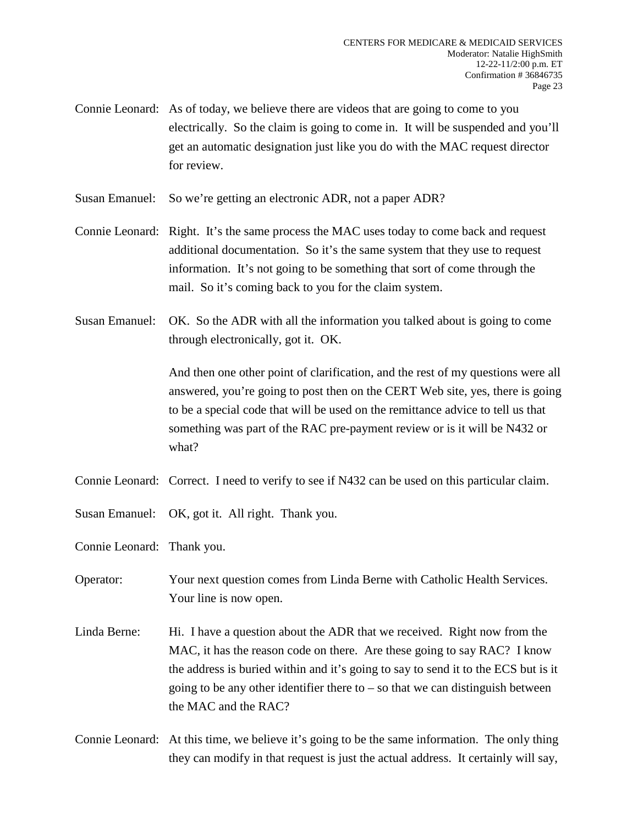- Connie Leonard: As of today, we believe there are videos that are going to come to you electrically. So the claim is going to come in. It will be suspended and you'll get an automatic designation just like you do with the MAC request director for review.
- Susan Emanuel: So we're getting an electronic ADR, not a paper ADR?
- Connie Leonard: Right. It's the same process the MAC uses today to come back and request additional documentation. So it's the same system that they use to request information. It's not going to be something that sort of come through the mail. So it's coming back to you for the claim system.
- Susan Emanuel: OK. So the ADR with all the information you talked about is going to come through electronically, got it. OK.

And then one other point of clarification, and the rest of my questions were all answered, you're going to post then on the CERT Web site, yes, there is going to be a special code that will be used on the remittance advice to tell us that something was part of the RAC pre-payment review or is it will be N432 or what?

- Connie Leonard: Correct. I need to verify to see if N432 can be used on this particular claim.
- Susan Emanuel: OK, got it. All right. Thank you.

Connie Leonard: Thank you.

- Operator: Your next question comes from Linda Berne with Catholic Health Services. Your line is now open.
- Linda Berne: Hi. I have a question about the ADR that we received. Right now from the MAC, it has the reason code on there. Are these going to say RAC? I know the address is buried within and it's going to say to send it to the ECS but is it going to be any other identifier there to  $-$  so that we can distinguish between the MAC and the RAC?
- Connie Leonard: At this time, we believe it's going to be the same information. The only thing they can modify in that request is just the actual address. It certainly will say,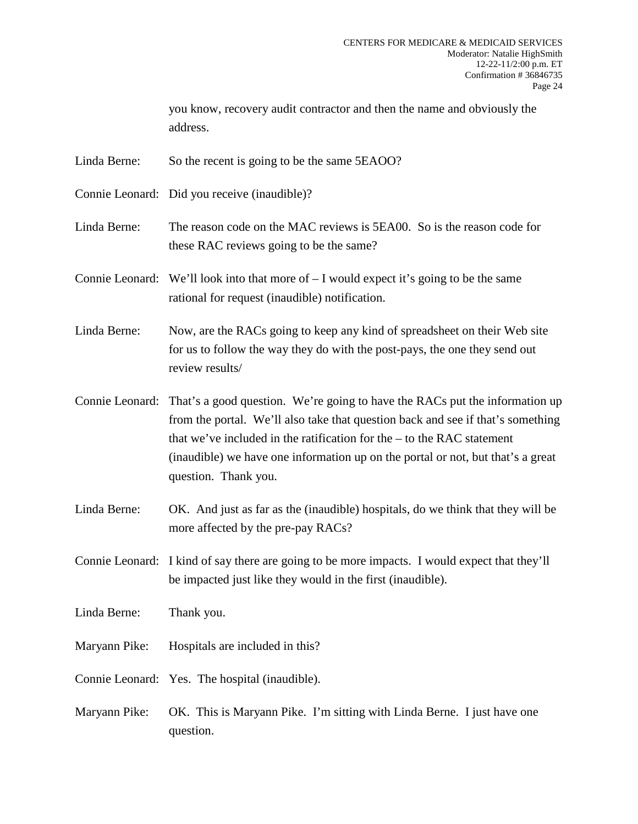you know, recovery audit contractor and then the name and obviously the address.

Linda Berne: So the recent is going to be the same 5EAOO?

Connie Leonard: Did you receive (inaudible)?

Linda Berne: The reason code on the MAC reviews is 5EA00. So is the reason code for these RAC reviews going to be the same?

Connie Leonard: We'll look into that more of  $-I$  would expect it's going to be the same rational for request (inaudible) notification.

Linda Berne: Now, are the RACs going to keep any kind of spreadsheet on their Web site for us to follow the way they do with the post-pays, the one they send out review results/

Connie Leonard: That's a good question. We're going to have the RACs put the information up from the portal. We'll also take that question back and see if that's something that we've included in the ratification for the – to the RAC statement (inaudible) we have one information up on the portal or not, but that's a great question. Thank you.

Linda Berne: OK. And just as far as the (inaudible) hospitals, do we think that they will be more affected by the pre-pay RACs?

Connie Leonard: I kind of say there are going to be more impacts. I would expect that they'll be impacted just like they would in the first (inaudible).

Linda Berne: Thank you.

Maryann Pike: Hospitals are included in this?

Connie Leonard: Yes. The hospital (inaudible).

Maryann Pike: OK. This is Maryann Pike. I'm sitting with Linda Berne. I just have one question.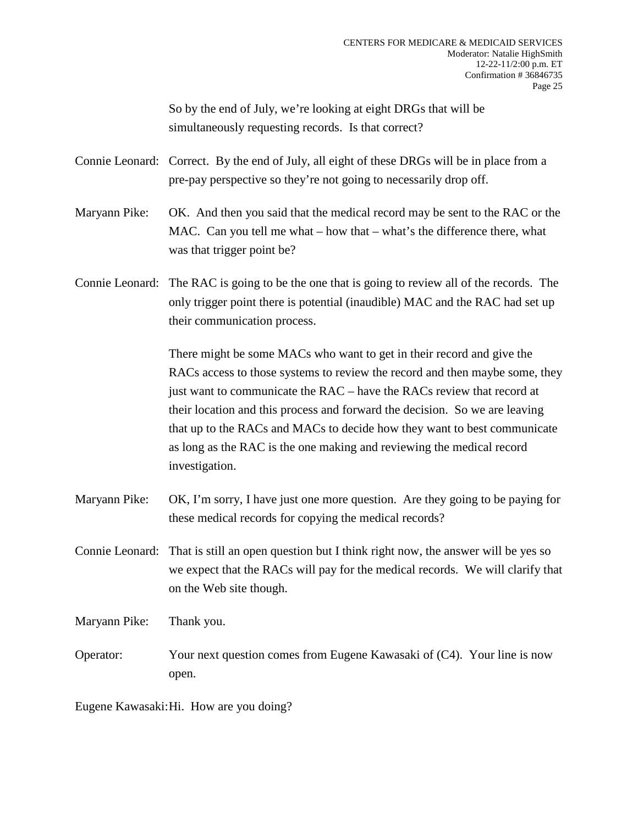So by the end of July, we're looking at eight DRGs that will be simultaneously requesting records. Is that correct?

Connie Leonard: Correct. By the end of July, all eight of these DRGs will be in place from a pre-pay perspective so they're not going to necessarily drop off.

Maryann Pike: OK. And then you said that the medical record may be sent to the RAC or the MAC. Can you tell me what – how that – what's the difference there, what was that trigger point be?

Connie Leonard: The RAC is going to be the one that is going to review all of the records. The only trigger point there is potential (inaudible) MAC and the RAC had set up their communication process.

> There might be some MACs who want to get in their record and give the RACs access to those systems to review the record and then maybe some, they just want to communicate the RAC – have the RACs review that record at their location and this process and forward the decision. So we are leaving that up to the RACs and MACs to decide how they want to best communicate as long as the RAC is the one making and reviewing the medical record investigation.

- Maryann Pike: OK, I'm sorry, I have just one more question. Are they going to be paying for these medical records for copying the medical records?
- Connie Leonard: That is still an open question but I think right now, the answer will be yes so we expect that the RACs will pay for the medical records. We will clarify that on the Web site though.

Maryann Pike: Thank you.

Operator: Your next question comes from Eugene Kawasaki of (C4). Your line is now open.

Eugene Kawasaki:Hi. How are you doing?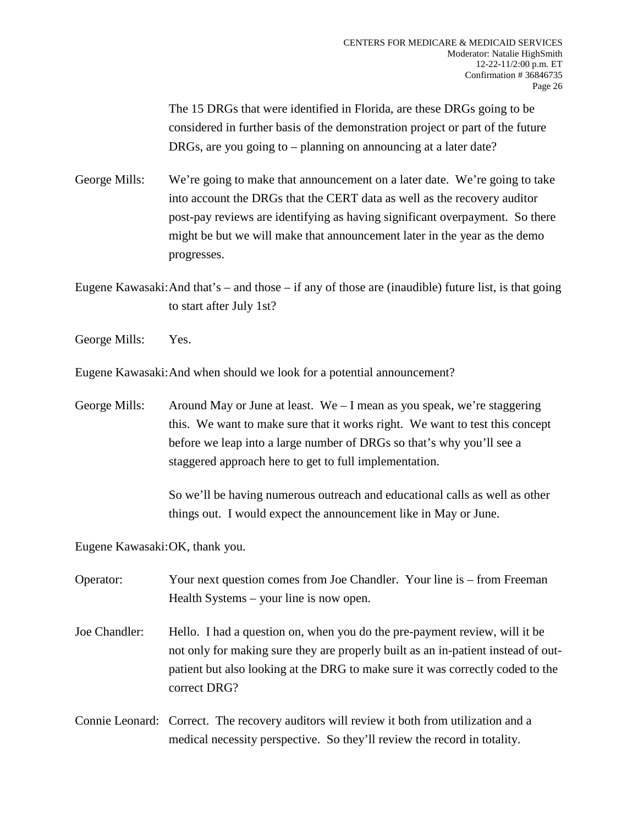The 15 DRGs that were identified in Florida, are these DRGs going to be considered in further basis of the demonstration project or part of the future DRGs, are you going to – planning on announcing at a later date?

George Mills: We're going to make that announcement on a later date. We're going to take into account the DRGs that the CERT data as well as the recovery auditor post-pay reviews are identifying as having significant overpayment. So there might be but we will make that announcement later in the year as the demo progresses.

Eugene Kawasaki:And that's – and those – if any of those are (inaudible) future list, is that going to start after July 1st?

George Mills: Yes.

Eugene Kawasaki:And when should we look for a potential announcement?

George Mills: Around May or June at least. We – I mean as you speak, we're staggering this. We want to make sure that it works right. We want to test this concept before we leap into a large number of DRGs so that's why you'll see a staggered approach here to get to full implementation.

> So we'll be having numerous outreach and educational calls as well as other things out. I would expect the announcement like in May or June.

Eugene Kawasaki:OK, thank you.

Operator: Your next question comes from Joe Chandler. Your line is – from Freeman Health Systems – your line is now open.

- Joe Chandler: Hello. I had a question on, when you do the pre-payment review, will it be not only for making sure they are properly built as an in-patient instead of outpatient but also looking at the DRG to make sure it was correctly coded to the correct DRG?
- Connie Leonard: Correct. The recovery auditors will review it both from utilization and a medical necessity perspective. So they'll review the record in totality.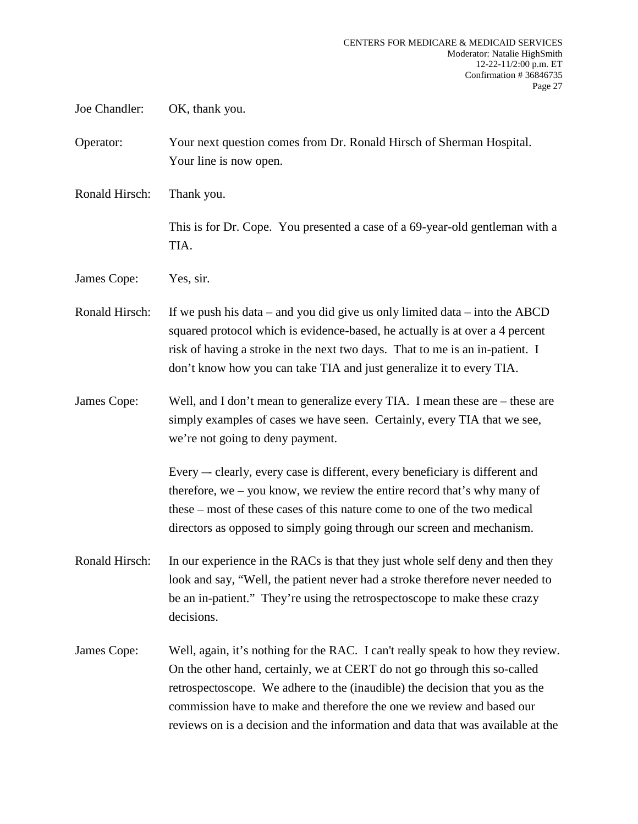Joe Chandler: OK, thank you.

Operator: Your next question comes from Dr. Ronald Hirsch of Sherman Hospital. Your line is now open.

Ronald Hirsch: Thank you.

This is for Dr. Cope. You presented a case of a 69-year-old gentleman with a TIA.

James Cope: Yes, sir.

Ronald Hirsch: If we push his data – and you did give us only limited data – into the ABCD squared protocol which is evidence-based, he actually is at over a 4 percent risk of having a stroke in the next two days. That to me is an in-patient. I don't know how you can take TIA and just generalize it to every TIA.

James Cope: Well, and I don't mean to generalize every TIA. I mean these are – these are simply examples of cases we have seen. Certainly, every TIA that we see, we're not going to deny payment.

> Every –- clearly, every case is different, every beneficiary is different and therefore, we – you know, we review the entire record that's why many of these – most of these cases of this nature come to one of the two medical directors as opposed to simply going through our screen and mechanism.

- Ronald Hirsch: In our experience in the RACs is that they just whole self deny and then they look and say, "Well, the patient never had a stroke therefore never needed to be an in-patient." They're using the retrospectoscope to make these crazy decisions.
- James Cope: Well, again, it's nothing for the RAC. I can't really speak to how they review. On the other hand, certainly, we at CERT do not go through this so-called retrospectoscope. We adhere to the (inaudible) the decision that you as the commission have to make and therefore the one we review and based our reviews on is a decision and the information and data that was available at the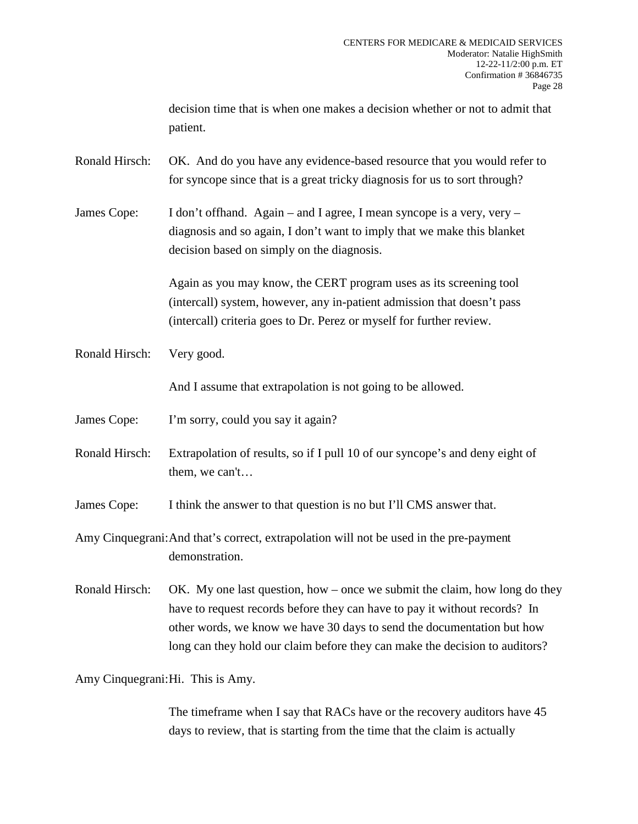decision time that is when one makes a decision whether or not to admit that patient.

Ronald Hirsch: OK. And do you have any evidence-based resource that you would refer to for syncope since that is a great tricky diagnosis for us to sort through?

James Cope: I don't offhand. Again – and I agree, I mean syncope is a very, very – diagnosis and so again, I don't want to imply that we make this blanket decision based on simply on the diagnosis.

> Again as you may know, the CERT program uses as its screening tool (intercall) system, however, any in-patient admission that doesn't pass (intercall) criteria goes to Dr. Perez or myself for further review.

Ronald Hirsch: Very good.

And I assume that extrapolation is not going to be allowed.

James Cope: I'm sorry, could you say it again?

Ronald Hirsch: Extrapolation of results, so if I pull 10 of our syncope's and deny eight of them, we can't…

James Cope: I think the answer to that question is no but I'll CMS answer that.

Amy Cinquegrani:And that's correct, extrapolation will not be used in the pre-payment demonstration.

Ronald Hirsch: OK. My one last question, how – once we submit the claim, how long do they have to request records before they can have to pay it without records? In other words, we know we have 30 days to send the documentation but how long can they hold our claim before they can make the decision to auditors?

Amy Cinquegrani:Hi. This is Amy.

The timeframe when I say that RACs have or the recovery auditors have 45 days to review, that is starting from the time that the claim is actually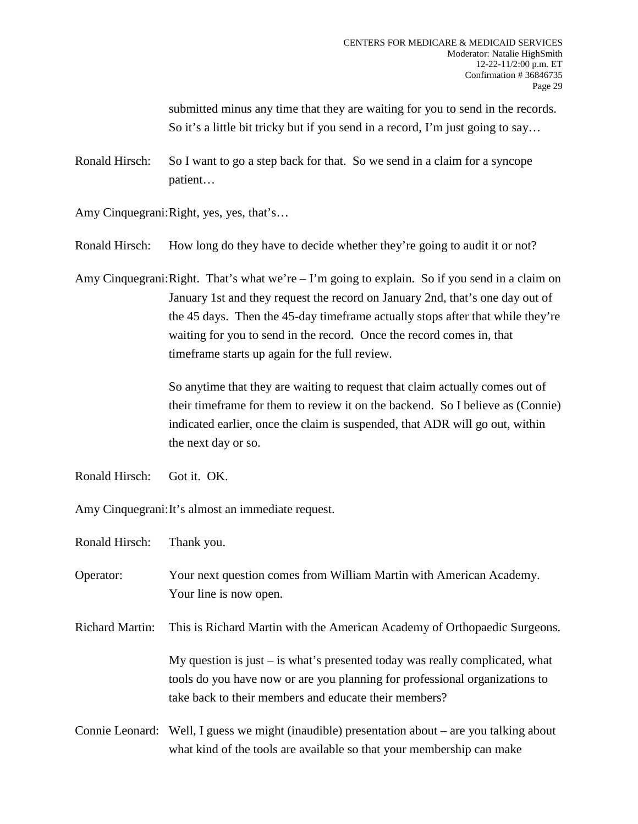submitted minus any time that they are waiting for you to send in the records. So it's a little bit tricky but if you send in a record, I'm just going to say...

Ronald Hirsch: So I want to go a step back for that. So we send in a claim for a syncope patient…

Amy Cinquegrani:Right, yes, yes, that's…

Ronald Hirsch: How long do they have to decide whether they're going to audit it or not?

Amy Cinquegrani: Right. That's what we're  $-1$ 'm going to explain. So if you send in a claim on January 1st and they request the record on January 2nd, that's one day out of the 45 days. Then the 45-day timeframe actually stops after that while they're waiting for you to send in the record. Once the record comes in, that timeframe starts up again for the full review.

> So anytime that they are waiting to request that claim actually comes out of their timeframe for them to review it on the backend. So I believe as (Connie) indicated earlier, once the claim is suspended, that ADR will go out, within the next day or so.

Ronald Hirsch: Got it. OK.

Amy Cinquegrani:It's almost an immediate request.

Ronald Hirsch: Thank you.

Operator: Your next question comes from William Martin with American Academy. Your line is now open.

Richard Martin: This is Richard Martin with the American Academy of Orthopaedic Surgeons.

My question is just  $-$  is what's presented today was really complicated, what tools do you have now or are you planning for professional organizations to take back to their members and educate their members?

Connie Leonard: Well, I guess we might (inaudible) presentation about – are you talking about what kind of the tools are available so that your membership can make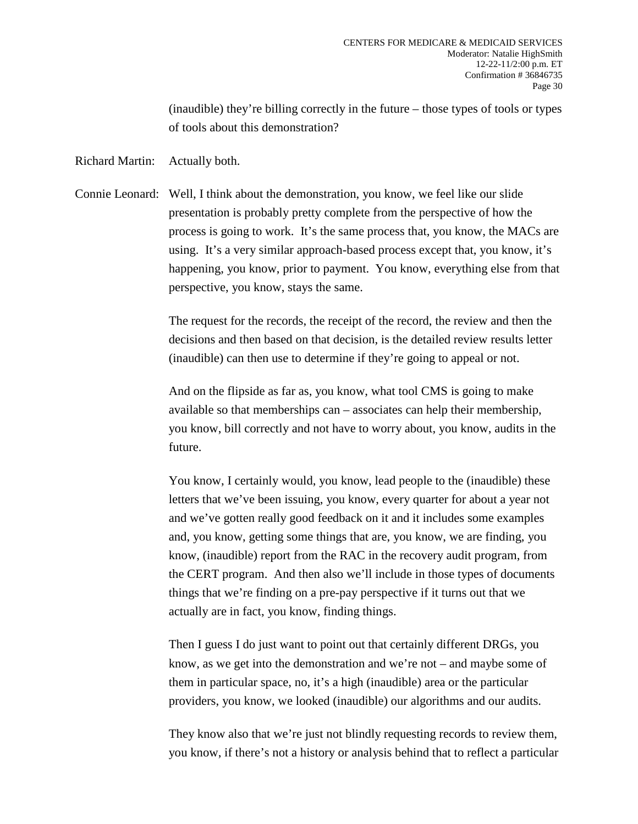(inaudible) they're billing correctly in the future – those types of tools or types of tools about this demonstration?

Richard Martin: Actually both.

Connie Leonard: Well, I think about the demonstration, you know, we feel like our slide presentation is probably pretty complete from the perspective of how the process is going to work. It's the same process that, you know, the MACs are using. It's a very similar approach-based process except that, you know, it's happening, you know, prior to payment. You know, everything else from that perspective, you know, stays the same.

> The request for the records, the receipt of the record, the review and then the decisions and then based on that decision, is the detailed review results letter (inaudible) can then use to determine if they're going to appeal or not.

And on the flipside as far as, you know, what tool CMS is going to make available so that memberships can – associates can help their membership, you know, bill correctly and not have to worry about, you know, audits in the future.

You know, I certainly would, you know, lead people to the (inaudible) these letters that we've been issuing, you know, every quarter for about a year not and we've gotten really good feedback on it and it includes some examples and, you know, getting some things that are, you know, we are finding, you know, (inaudible) report from the RAC in the recovery audit program, from the CERT program. And then also we'll include in those types of documents things that we're finding on a pre-pay perspective if it turns out that we actually are in fact, you know, finding things.

Then I guess I do just want to point out that certainly different DRGs, you know, as we get into the demonstration and we're not – and maybe some of them in particular space, no, it's a high (inaudible) area or the particular providers, you know, we looked (inaudible) our algorithms and our audits.

They know also that we're just not blindly requesting records to review them, you know, if there's not a history or analysis behind that to reflect a particular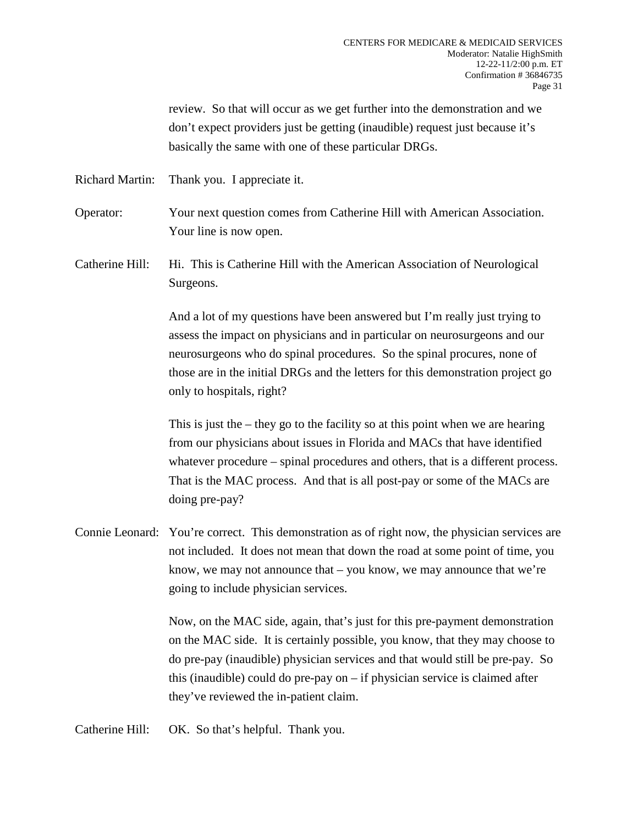review. So that will occur as we get further into the demonstration and we don't expect providers just be getting (inaudible) request just because it's basically the same with one of these particular DRGs.

Richard Martin: Thank you. I appreciate it.

Operator: Your next question comes from Catherine Hill with American Association. Your line is now open.

Catherine Hill: Hi. This is Catherine Hill with the American Association of Neurological Surgeons.

> And a lot of my questions have been answered but I'm really just trying to assess the impact on physicians and in particular on neurosurgeons and our neurosurgeons who do spinal procedures. So the spinal procures, none of those are in the initial DRGs and the letters for this demonstration project go only to hospitals, right?

This is just the – they go to the facility so at this point when we are hearing from our physicians about issues in Florida and MACs that have identified whatever procedure – spinal procedures and others, that is a different process. That is the MAC process. And that is all post-pay or some of the MACs are doing pre-pay?

Connie Leonard: You're correct. This demonstration as of right now, the physician services are not included. It does not mean that down the road at some point of time, you know, we may not announce that – you know, we may announce that we're going to include physician services.

> Now, on the MAC side, again, that's just for this pre-payment demonstration on the MAC side. It is certainly possible, you know, that they may choose to do pre-pay (inaudible) physician services and that would still be pre-pay. So this (inaudible) could do pre-pay on – if physician service is claimed after they've reviewed the in-patient claim.

Catherine Hill: OK. So that's helpful. Thank you.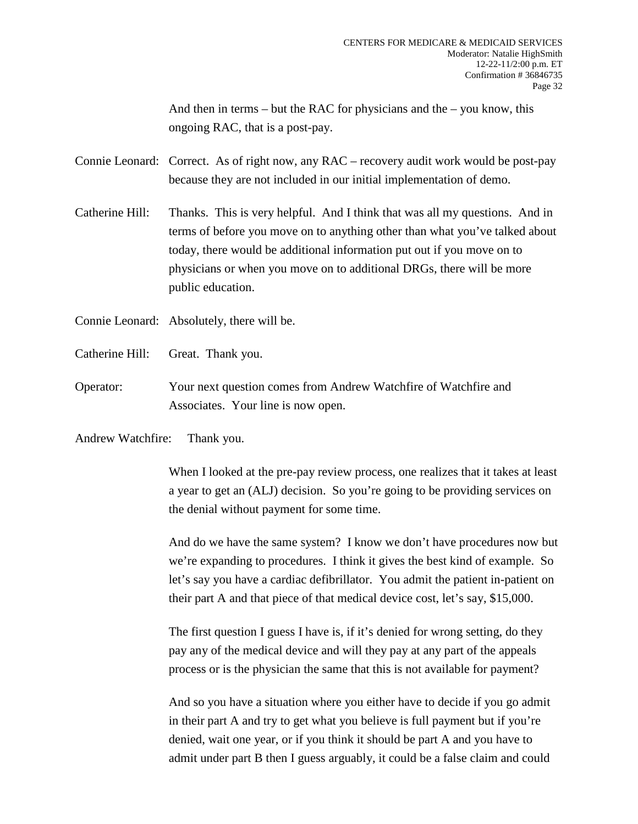And then in terms – but the RAC for physicians and the – you know, this ongoing RAC, that is a post-pay.

Connie Leonard: Correct. As of right now, any RAC – recovery audit work would be post-pay because they are not included in our initial implementation of demo.

Catherine Hill: Thanks. This is very helpful. And I think that was all my questions. And in terms of before you move on to anything other than what you've talked about today, there would be additional information put out if you move on to physicians or when you move on to additional DRGs, there will be more public education.

Connie Leonard: Absolutely, there will be.

- Catherine Hill: Great. Thank you.
- Operator: Your next question comes from Andrew Watchfire of Watchfire and Associates. Your line is now open.

Andrew Watchfire: Thank you.

When I looked at the pre-pay review process, one realizes that it takes at least a year to get an (ALJ) decision. So you're going to be providing services on the denial without payment for some time.

And do we have the same system? I know we don't have procedures now but we're expanding to procedures. I think it gives the best kind of example. So let's say you have a cardiac defibrillator. You admit the patient in-patient on their part A and that piece of that medical device cost, let's say, \$15,000.

The first question I guess I have is, if it's denied for wrong setting, do they pay any of the medical device and will they pay at any part of the appeals process or is the physician the same that this is not available for payment?

And so you have a situation where you either have to decide if you go admit in their part A and try to get what you believe is full payment but if you're denied, wait one year, or if you think it should be part A and you have to admit under part B then I guess arguably, it could be a false claim and could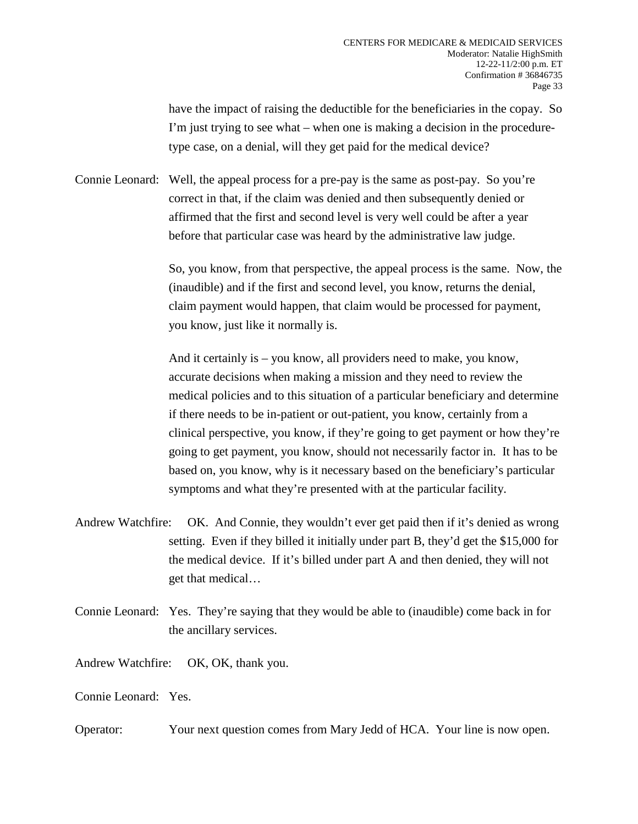have the impact of raising the deductible for the beneficiaries in the copay. So I'm just trying to see what – when one is making a decision in the proceduretype case, on a denial, will they get paid for the medical device?

Connie Leonard: Well, the appeal process for a pre-pay is the same as post-pay. So you're correct in that, if the claim was denied and then subsequently denied or affirmed that the first and second level is very well could be after a year before that particular case was heard by the administrative law judge.

> So, you know, from that perspective, the appeal process is the same. Now, the (inaudible) and if the first and second level, you know, returns the denial, claim payment would happen, that claim would be processed for payment, you know, just like it normally is.

> And it certainly is – you know, all providers need to make, you know, accurate decisions when making a mission and they need to review the medical policies and to this situation of a particular beneficiary and determine if there needs to be in-patient or out-patient, you know, certainly from a clinical perspective, you know, if they're going to get payment or how they're going to get payment, you know, should not necessarily factor in. It has to be based on, you know, why is it necessary based on the beneficiary's particular symptoms and what they're presented with at the particular facility.

- Andrew Watchfire: OK. And Connie, they wouldn't ever get paid then if it's denied as wrong setting. Even if they billed it initially under part B, they'd get the \$15,000 for the medical device. If it's billed under part A and then denied, they will not get that medical…
- Connie Leonard: Yes. They're saying that they would be able to (inaudible) come back in for the ancillary services.

Andrew Watchfire: OK, OK, thank you.

Connie Leonard: Yes.

Operator: Your next question comes from Mary Jedd of HCA. Your line is now open.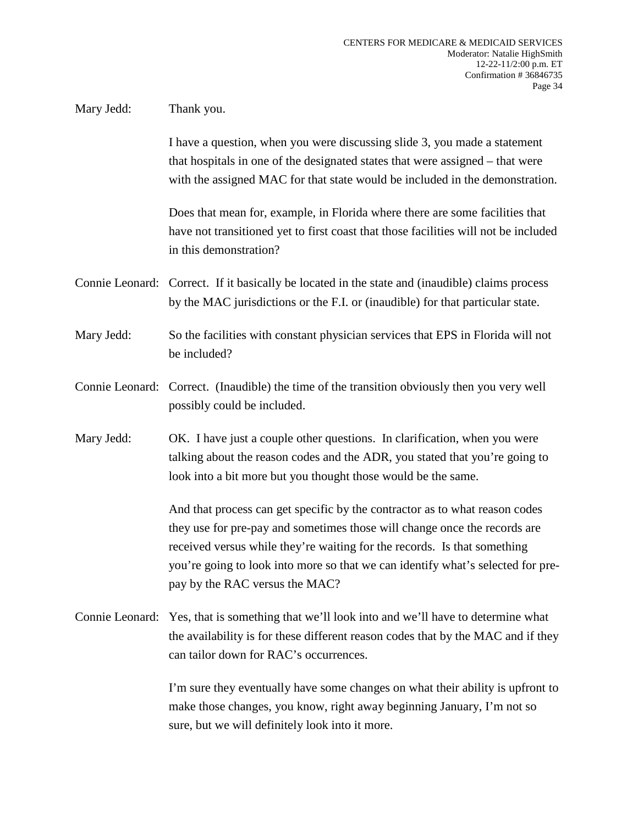## Mary Jedd: Thank you.

I have a question, when you were discussing slide 3, you made a statement that hospitals in one of the designated states that were assigned – that were with the assigned MAC for that state would be included in the demonstration.

Does that mean for, example, in Florida where there are some facilities that have not transitioned yet to first coast that those facilities will not be included in this demonstration?

Connie Leonard: Correct. If it basically be located in the state and (inaudible) claims process by the MAC jurisdictions or the F.I. or (inaudible) for that particular state.

Mary Jedd: So the facilities with constant physician services that EPS in Florida will not be included?

Connie Leonard: Correct. (Inaudible) the time of the transition obviously then you very well possibly could be included.

Mary Jedd: OK. I have just a couple other questions. In clarification, when you were talking about the reason codes and the ADR, you stated that you're going to look into a bit more but you thought those would be the same.

> And that process can get specific by the contractor as to what reason codes they use for pre-pay and sometimes those will change once the records are received versus while they're waiting for the records. Is that something you're going to look into more so that we can identify what's selected for prepay by the RAC versus the MAC?

Connie Leonard: Yes, that is something that we'll look into and we'll have to determine what the availability is for these different reason codes that by the MAC and if they can tailor down for RAC's occurrences.

> I'm sure they eventually have some changes on what their ability is upfront to make those changes, you know, right away beginning January, I'm not so sure, but we will definitely look into it more.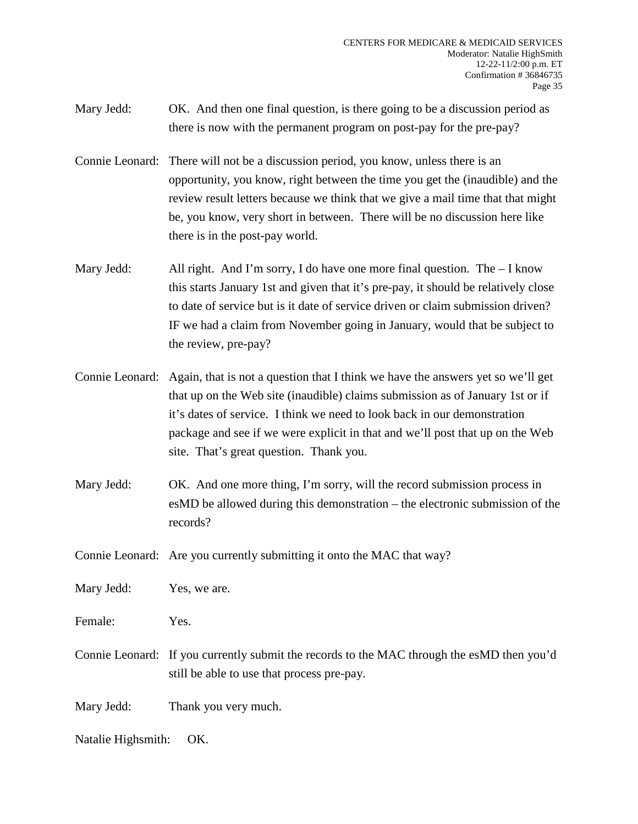- Mary Jedd: OK. And then one final question, is there going to be a discussion period as there is now with the permanent program on post-pay for the pre-pay?
- Connie Leonard: There will not be a discussion period, you know, unless there is an opportunity, you know, right between the time you get the (inaudible) and the review result letters because we think that we give a mail time that that might be, you know, very short in between. There will be no discussion here like there is in the post-pay world.
- Mary Jedd: All right. And I'm sorry, I do have one more final question. The I know this starts January 1st and given that it's pre-pay, it should be relatively close to date of service but is it date of service driven or claim submission driven? IF we had a claim from November going in January, would that be subject to the review, pre-pay?
- Connie Leonard: Again, that is not a question that I think we have the answers yet so we'll get that up on the Web site (inaudible) claims submission as of January 1st or if it's dates of service. I think we need to look back in our demonstration package and see if we were explicit in that and we'll post that up on the Web site. That's great question. Thank you.
- Mary Jedd: OK. And one more thing, I'm sorry, will the record submission process in esMD be allowed during this demonstration – the electronic submission of the records?

Connie Leonard: Are you currently submitting it onto the MAC that way?

Mary Jedd: Yes, we are.

Female: Yes.

Connie Leonard: If you currently submit the records to the MAC through the esMD then you'd still be able to use that process pre-pay.

Mary Jedd: Thank you very much.

Natalie Highsmith: OK.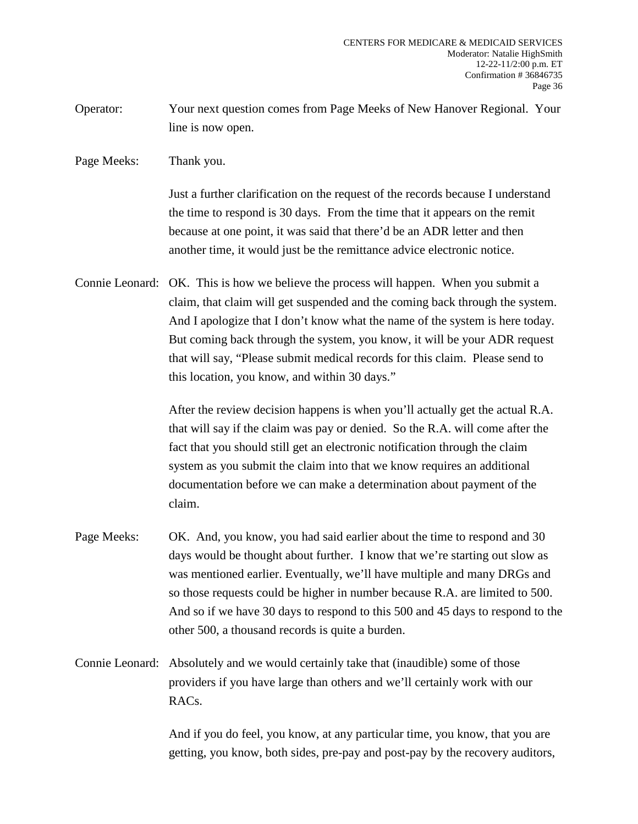- Operator: Your next question comes from Page Meeks of New Hanover Regional. Your line is now open.
- Page Meeks: Thank you.

Just a further clarification on the request of the records because I understand the time to respond is 30 days. From the time that it appears on the remit because at one point, it was said that there'd be an ADR letter and then another time, it would just be the remittance advice electronic notice.

Connie Leonard: OK. This is how we believe the process will happen. When you submit a claim, that claim will get suspended and the coming back through the system. And I apologize that I don't know what the name of the system is here today. But coming back through the system, you know, it will be your ADR request that will say, "Please submit medical records for this claim. Please send to this location, you know, and within 30 days."

> After the review decision happens is when you'll actually get the actual R.A. that will say if the claim was pay or denied. So the R.A. will come after the fact that you should still get an electronic notification through the claim system as you submit the claim into that we know requires an additional documentation before we can make a determination about payment of the claim.

- Page Meeks: OK. And, you know, you had said earlier about the time to respond and 30 days would be thought about further. I know that we're starting out slow as was mentioned earlier. Eventually, we'll have multiple and many DRGs and so those requests could be higher in number because R.A. are limited to 500. And so if we have 30 days to respond to this 500 and 45 days to respond to the other 500, a thousand records is quite a burden.
- Connie Leonard: Absolutely and we would certainly take that (inaudible) some of those providers if you have large than others and we'll certainly work with our RACs.

And if you do feel, you know, at any particular time, you know, that you are getting, you know, both sides, pre-pay and post-pay by the recovery auditors,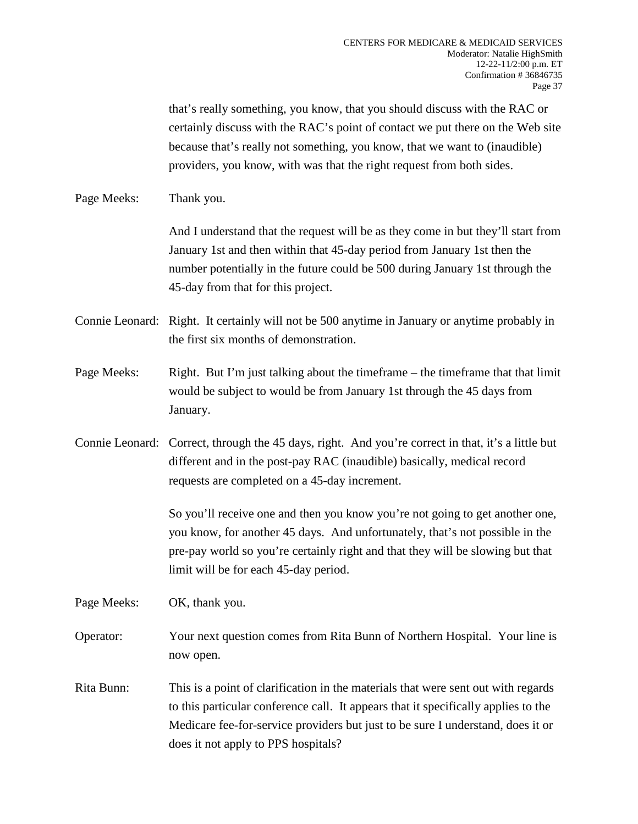that's really something, you know, that you should discuss with the RAC or certainly discuss with the RAC's point of contact we put there on the Web site because that's really not something, you know, that we want to (inaudible) providers, you know, with was that the right request from both sides.

Page Meeks: Thank you.

And I understand that the request will be as they come in but they'll start from January 1st and then within that 45-day period from January 1st then the number potentially in the future could be 500 during January 1st through the 45-day from that for this project.

Connie Leonard: Right. It certainly will not be 500 anytime in January or anytime probably in the first six months of demonstration.

- Page Meeks: Right. But I'm just talking about the timeframe the timeframe that that limit would be subject to would be from January 1st through the 45 days from January.
- Connie Leonard: Correct, through the 45 days, right. And you're correct in that, it's a little but different and in the post-pay RAC (inaudible) basically, medical record requests are completed on a 45-day increment.

So you'll receive one and then you know you're not going to get another one, you know, for another 45 days. And unfortunately, that's not possible in the pre-pay world so you're certainly right and that they will be slowing but that limit will be for each 45-day period.

Page Meeks: OK, thank you.

- Operator: Your next question comes from Rita Bunn of Northern Hospital. Your line is now open.
- Rita Bunn: This is a point of clarification in the materials that were sent out with regards to this particular conference call. It appears that it specifically applies to the Medicare fee-for-service providers but just to be sure I understand, does it or does it not apply to PPS hospitals?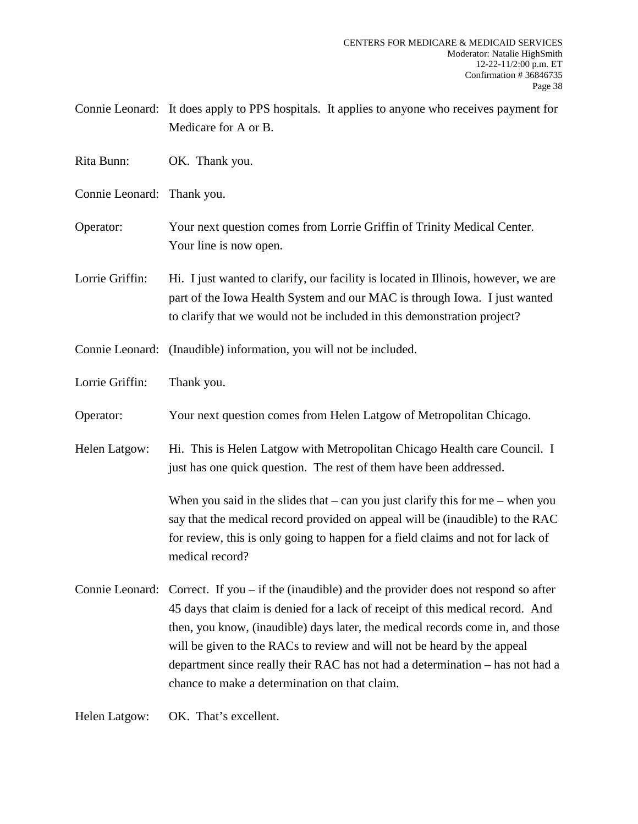| Connie Leonard: It does apply to PPS hospitals. It applies to anyone who receives payment for |  |
|-----------------------------------------------------------------------------------------------|--|
| Medicare for A or B.                                                                          |  |

- Rita Bunn: OK. Thank you.
- Connie Leonard: Thank you.
- Operator: Your next question comes from Lorrie Griffin of Trinity Medical Center. Your line is now open.
- Lorrie Griffin: Hi. I just wanted to clarify, our facility is located in Illinois, however, we are part of the Iowa Health System and our MAC is through Iowa. I just wanted to clarify that we would not be included in this demonstration project?
- Connie Leonard: (Inaudible) information, you will not be included.
- Lorrie Griffin: Thank you.
- Operator: Your next question comes from Helen Latgow of Metropolitan Chicago.
- Helen Latgow: Hi. This is Helen Latgow with Metropolitan Chicago Health care Council. I just has one quick question. The rest of them have been addressed.

When you said in the slides that  $-$  can you just clarify this for me  $-$  when you say that the medical record provided on appeal will be (inaudible) to the RAC for review, this is only going to happen for a field claims and not for lack of medical record?

Connie Leonard: Correct. If you – if the (inaudible) and the provider does not respond so after 45 days that claim is denied for a lack of receipt of this medical record. And then, you know, (inaudible) days later, the medical records come in, and those will be given to the RACs to review and will not be heard by the appeal department since really their RAC has not had a determination – has not had a chance to make a determination on that claim.

Helen Latgow: OK. That's excellent.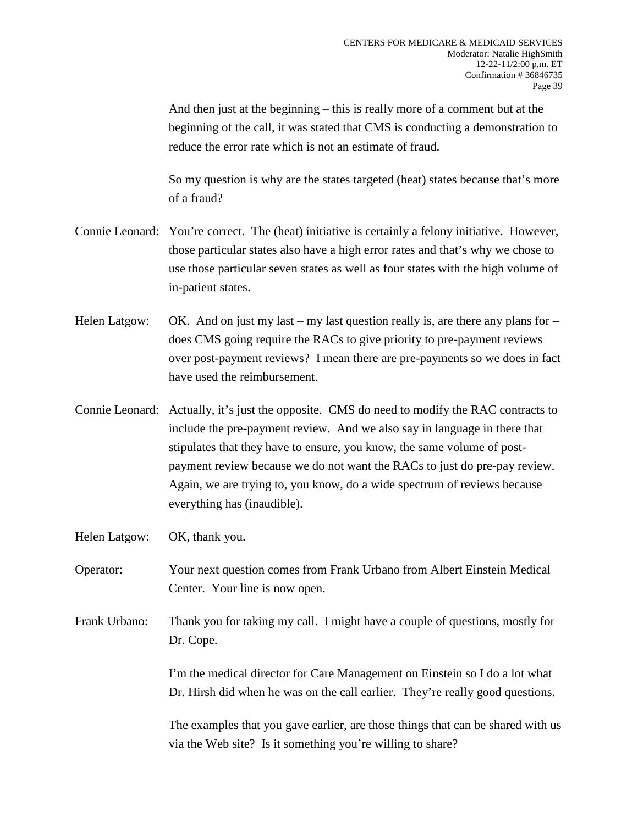And then just at the beginning – this is really more of a comment but at the beginning of the call, it was stated that CMS is conducting a demonstration to reduce the error rate which is not an estimate of fraud.

So my question is why are the states targeted (heat) states because that's more of a fraud?

- Connie Leonard: You're correct. The (heat) initiative is certainly a felony initiative. However, those particular states also have a high error rates and that's why we chose to use those particular seven states as well as four states with the high volume of in-patient states.
- Helen Latgow: OK. And on just my last my last question really is, are there any plans for does CMS going require the RACs to give priority to pre-payment reviews over post-payment reviews? I mean there are pre-payments so we does in fact have used the reimbursement.
- Connie Leonard: Actually, it's just the opposite. CMS do need to modify the RAC contracts to include the pre-payment review. And we also say in language in there that stipulates that they have to ensure, you know, the same volume of postpayment review because we do not want the RACs to just do pre-pay review. Again, we are trying to, you know, do a wide spectrum of reviews because everything has (inaudible).
- Helen Latgow: OK, thank you.
- Operator: Your next question comes from Frank Urbano from Albert Einstein Medical Center. Your line is now open.
- Frank Urbano: Thank you for taking my call. I might have a couple of questions, mostly for Dr. Cope.

I'm the medical director for Care Management on Einstein so I do a lot what Dr. Hirsh did when he was on the call earlier. They're really good questions.

The examples that you gave earlier, are those things that can be shared with us via the Web site? Is it something you're willing to share?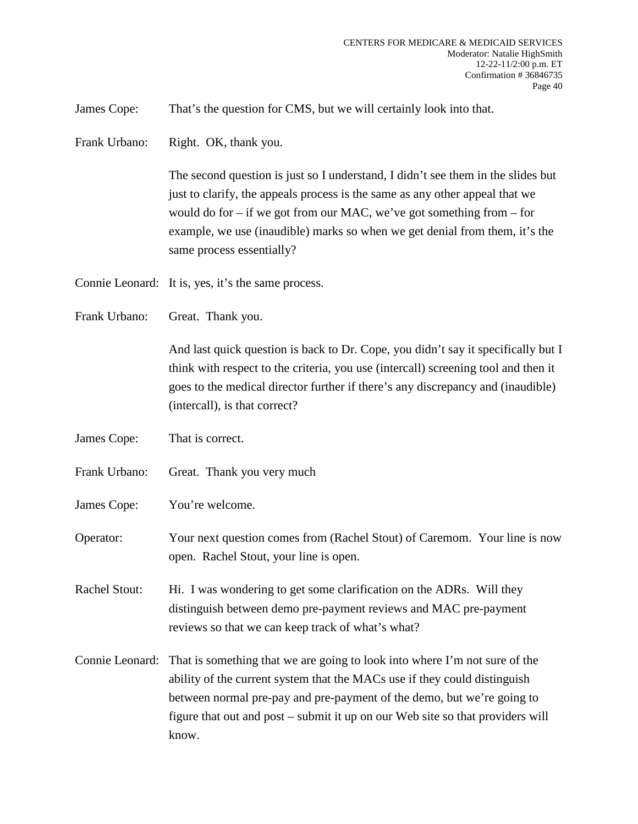James Cope: That's the question for CMS, but we will certainly look into that.

Frank Urbano: Right. OK, thank you.

The second question is just so I understand, I didn't see them in the slides but just to clarify, the appeals process is the same as any other appeal that we would do for – if we got from our MAC, we've got something from – for example, we use (inaudible) marks so when we get denial from them, it's the same process essentially?

Connie Leonard: It is, yes, it's the same process.

Frank Urbano: Great. Thank you.

And last quick question is back to Dr. Cope, you didn't say it specifically but I think with respect to the criteria, you use (intercall) screening tool and then it goes to the medical director further if there's any discrepancy and (inaudible) (intercall), is that correct?

- James Cope: That is correct.
- Frank Urbano: Great. Thank you very much
- James Cope: You're welcome.

Operator: Your next question comes from (Rachel Stout) of Caremom. Your line is now open. Rachel Stout, your line is open.

Rachel Stout: Hi. I was wondering to get some clarification on the ADRs. Will they distinguish between demo pre-payment reviews and MAC pre-payment reviews so that we can keep track of what's what?

Connie Leonard: That is something that we are going to look into where I'm not sure of the ability of the current system that the MACs use if they could distinguish between normal pre-pay and pre-payment of the demo, but we're going to figure that out and post – submit it up on our Web site so that providers will know.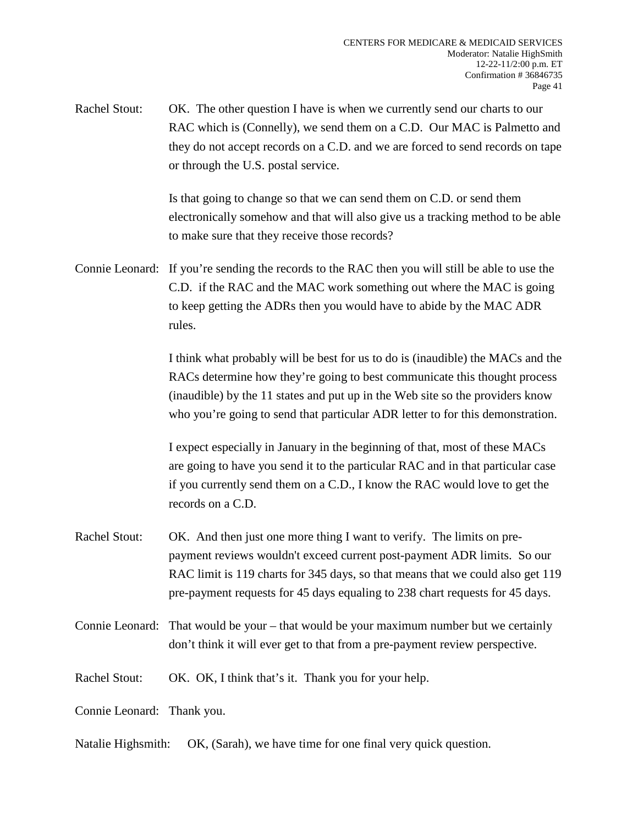Rachel Stout: OK. The other question I have is when we currently send our charts to our RAC which is (Connelly), we send them on a C.D. Our MAC is Palmetto and they do not accept records on a C.D. and we are forced to send records on tape or through the U.S. postal service.

> Is that going to change so that we can send them on C.D. or send them electronically somehow and that will also give us a tracking method to be able to make sure that they receive those records?

Connie Leonard: If you're sending the records to the RAC then you will still be able to use the C.D. if the RAC and the MAC work something out where the MAC is going to keep getting the ADRs then you would have to abide by the MAC ADR rules.

> I think what probably will be best for us to do is (inaudible) the MACs and the RACs determine how they're going to best communicate this thought process (inaudible) by the 11 states and put up in the Web site so the providers know who you're going to send that particular ADR letter to for this demonstration.

I expect especially in January in the beginning of that, most of these MACs are going to have you send it to the particular RAC and in that particular case if you currently send them on a C.D., I know the RAC would love to get the records on a C.D.

- Rachel Stout: OK. And then just one more thing I want to verify. The limits on prepayment reviews wouldn't exceed current post-payment ADR limits. So our RAC limit is 119 charts for 345 days, so that means that we could also get 119 pre-payment requests for 45 days equaling to 238 chart requests for 45 days.
- Connie Leonard: That would be your that would be your maximum number but we certainly don't think it will ever get to that from a pre-payment review perspective.
- Rachel Stout: OK. OK, I think that's it. Thank you for your help.

Connie Leonard: Thank you.

Natalie Highsmith: OK, (Sarah), we have time for one final very quick question.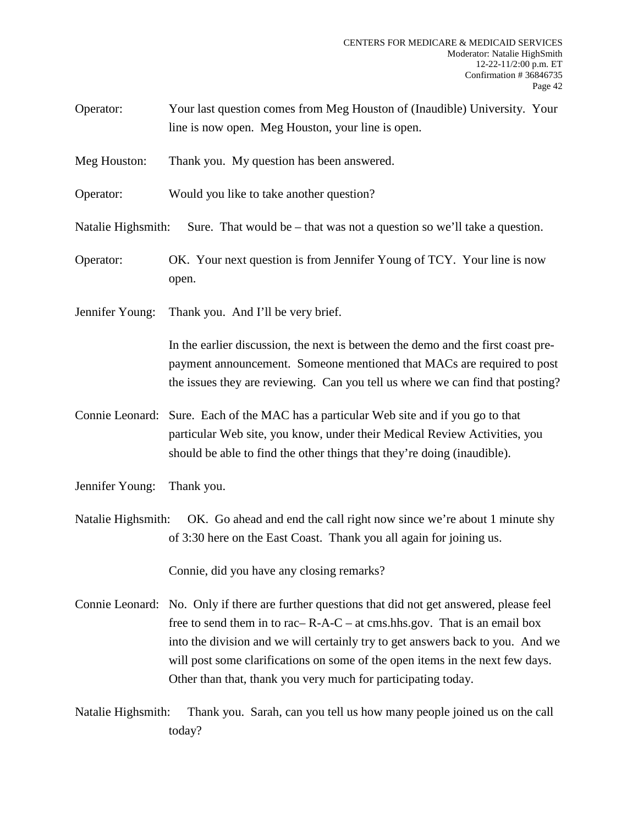- Operator: Your last question comes from Meg Houston of (Inaudible) University. Your line is now open. Meg Houston, your line is open.
- Meg Houston: Thank you. My question has been answered.
- Operator: Would you like to take another question?
- Natalie Highsmith: Sure. That would be that was not a question so we'll take a question.
- Operator: OK. Your next question is from Jennifer Young of TCY. Your line is now open.
- Jennifer Young: Thank you. And I'll be very brief.

In the earlier discussion, the next is between the demo and the first coast prepayment announcement. Someone mentioned that MACs are required to post the issues they are reviewing. Can you tell us where we can find that posting?

- Connie Leonard: Sure. Each of the MAC has a particular Web site and if you go to that particular Web site, you know, under their Medical Review Activities, you should be able to find the other things that they're doing (inaudible).
- Jennifer Young: Thank you.

Natalie Highsmith: OK. Go ahead and end the call right now since we're about 1 minute shy of 3:30 here on the East Coast. Thank you all again for joining us.

Connie, did you have any closing remarks?

- Connie Leonard: No. Only if there are further questions that did not get answered, please feel free to send them in to rac–  $R-A-C$  – at cms.hhs.gov. That is an email box into the division and we will certainly try to get answers back to you. And we will post some clarifications on some of the open items in the next few days. Other than that, thank you very much for participating today.
- Natalie Highsmith: Thank you. Sarah, can you tell us how many people joined us on the call today?